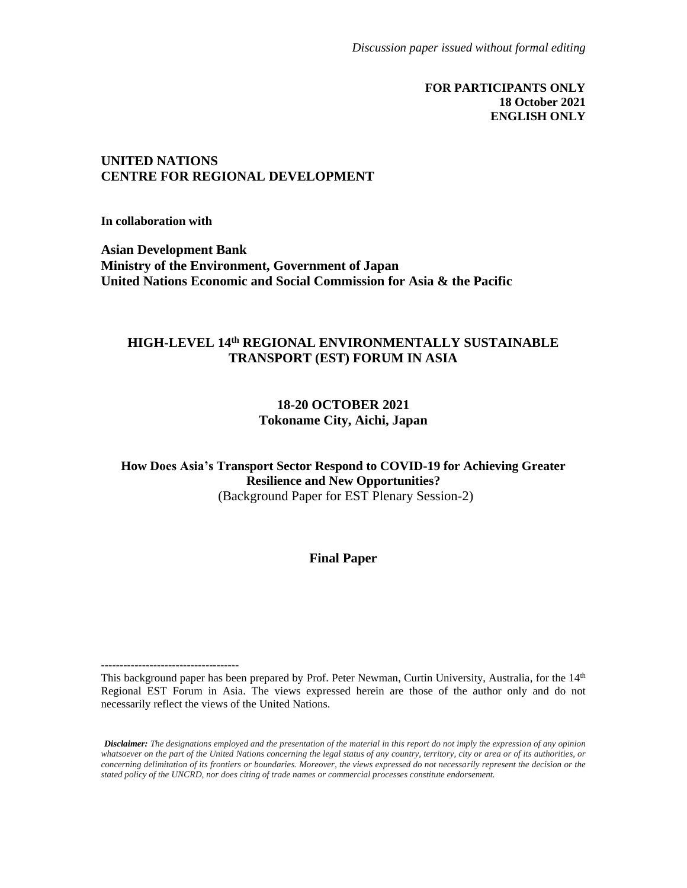#### **FOR PARTICIPANTS ONLY 18 October 2021 ENGLISH ONLY**

#### **UNITED NATIONS CENTRE FOR REGIONAL DEVELOPMENT**

**In collaboration with**

**Asian Development Bank Ministry of the Environment, Government of Japan United Nations Economic and Social Commission for Asia & the Pacific**

#### **HIGH-LEVEL 14 th REGIONAL ENVIRONMENTALLY SUSTAINABLE TRANSPORT (EST) FORUM IN ASIA**

#### **18-20 OCTOBER 2021 Tokoname City, Aichi, Japan**

**How Does Asia's Transport Sector Respond to COVID-19 for Achieving Greater Resilience and New Opportunities?** (Background Paper for EST Plenary Session-2)

#### **Final Paper**

*Disclaimer: The designations employed and the presentation of the material in this report do not imply the expression of any opinion whatsoever on the part of the United Nations concerning the legal status of any country, territory, city or area or of its authorities, or concerning delimitation of its frontiers or boundaries. Moreover, the views expressed do not necessarily represent the decision or the stated policy of the UNCRD, nor does citing of trade names or commercial processes constitute endorsement.*

**<sup>-------------------------------------</sup>** This background paper has been prepared by Prof. Peter Newman, Curtin University, Australia, for the 14<sup>th</sup> Regional EST Forum in Asia. The views expressed herein are those of the author only and do not necessarily reflect the views of the United Nations.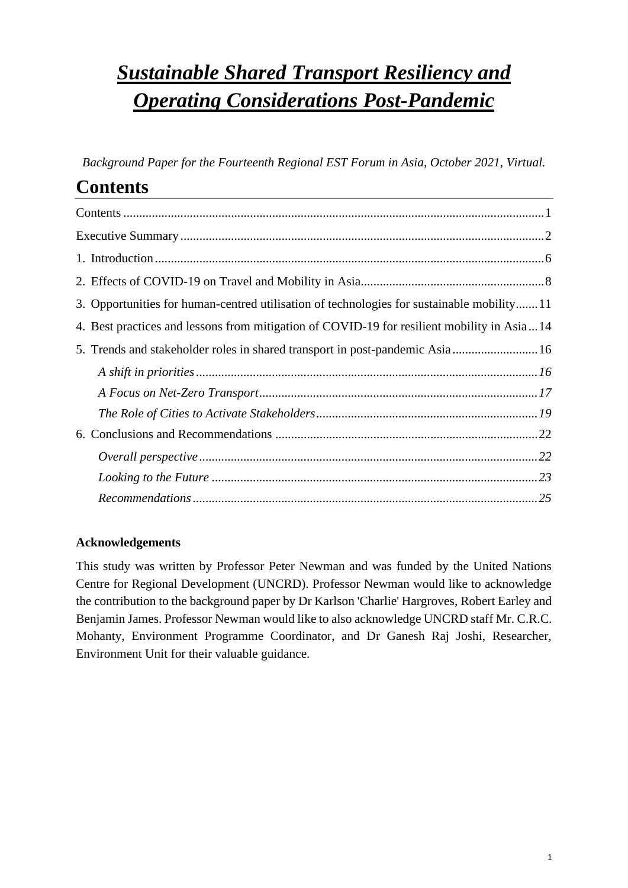# *Sustainable Shared Transport Resiliency and Operating Considerations Post-Pandemic*

*Background Paper for the Fourteenth Regional EST Forum in Asia, October 2021, Virtual.*

## <span id="page-1-0"></span>**Contents**

| 3. Opportunities for human-centred utilisation of technologies for sustainable mobility11  |
|--------------------------------------------------------------------------------------------|
| 4. Best practices and lessons from mitigation of COVID-19 for resilient mobility in Asia14 |
| 5. Trends and stakeholder roles in shared transport in post-pandemic Asia 16               |
|                                                                                            |
|                                                                                            |
|                                                                                            |
|                                                                                            |
|                                                                                            |
|                                                                                            |
|                                                                                            |

### **Acknowledgements**

This study was written by Professor Peter Newman and was funded by the United Nations Centre for Regional Development (UNCRD). Professor Newman would like to acknowledge the contribution to the background paper by Dr Karlson 'Charlie' Hargroves, Robert Earley and Benjamin James. Professor Newman would like to also acknowledge UNCRD staff Mr. C.R.C. Mohanty, Environment Programme Coordinator, and Dr Ganesh Raj Joshi, Researcher, Environment Unit for their valuable guidance.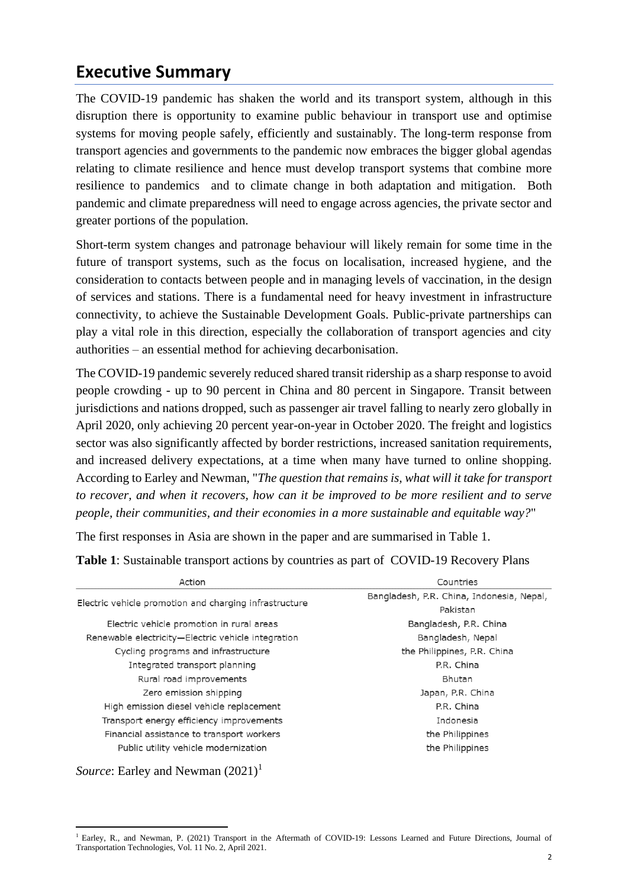### <span id="page-2-0"></span>**Executive Summary**

The COVID-19 pandemic has shaken the world and its transport system, although in this disruption there is opportunity to examine public behaviour in transport use and optimise systems for moving people safely, efficiently and sustainably. The long-term response from transport agencies and governments to the pandemic now embraces the bigger global agendas relating to climate resilience and hence must develop transport systems that combine more resilience to pandemics and to climate change in both adaptation and mitigation. Both pandemic and climate preparedness will need to engage across agencies, the private sector and greater portions of the population.

Short-term system changes and patronage behaviour will likely remain for some time in the future of transport systems, such as the focus on localisation, increased hygiene, and the consideration to contacts between people and in managing levels of vaccination, in the design of services and stations. There is a fundamental need for heavy investment in infrastructure connectivity, to achieve the Sustainable Development Goals. Public-private partnerships can play a vital role in this direction, especially the collaboration of transport agencies and city authorities – an essential method for achieving decarbonisation.

The COVID-19 pandemic severely reduced shared transit ridership as a sharp response to avoid people crowding - up to 90 percent in China and 80 percent in Singapore. Transit between jurisdictions and nations dropped, such as passenger air travel falling to nearly zero globally in April 2020, only achieving 20 percent year-on-year in October 2020. The freight and logistics sector was also significantly affected by border restrictions, increased sanitation requirements, and increased delivery expectations, at a time when many have turned to online shopping. According to Earley and Newman, "*The question that remains is, what will it take for transport to recover, and when it recovers, how can it be improved to be more resilient and to serve people, their communities, and their economies in a more sustainable and equitable way?*"

The first responses in Asia are shown in the paper and are summarised in Table 1.

**Table 1**: Sustainable transport actions by countries as part of COVID-19 Recovery Plans

| Action                                                 | Countries                                 |  |  |
|--------------------------------------------------------|-------------------------------------------|--|--|
|                                                        | Bangladesh, P.R. China, Indonesia, Nepal, |  |  |
| Electric vehicle promotion and charging infrastructure | Pakistan                                  |  |  |
| Electric vehicle promotion in rural areas              | Bangladesh, P.R. China                    |  |  |
| Renewable electricity-Electric vehicle integration     | Bangladesh, Nepal                         |  |  |
| Cycling programs and infrastructure                    | the Philippines, P.R. China               |  |  |
| Integrated transport planning                          | P.R. China                                |  |  |
| Rural road improvements                                | <b>Bhutan</b>                             |  |  |
| Zero emission shipping                                 | Japan, P.R. China                         |  |  |
| High emission diesel vehicle replacement               | P.R. China                                |  |  |
| Transport energy efficiency improvements               | Indonesia                                 |  |  |
| Financial assistance to transport workers              | the Philippines                           |  |  |
| Public utility vehicle modernization                   | the Philippines                           |  |  |

*Source*: Earley and Newman  $(2021)^1$ 

<sup>&</sup>lt;sup>1</sup> Earley, R., and Newman, P. (2021) Transport in the Aftermath of COVID-19: Lessons Learned and Future Directions, Journal of Transportation Technologies, Vol. 11 No. 2, April 2021.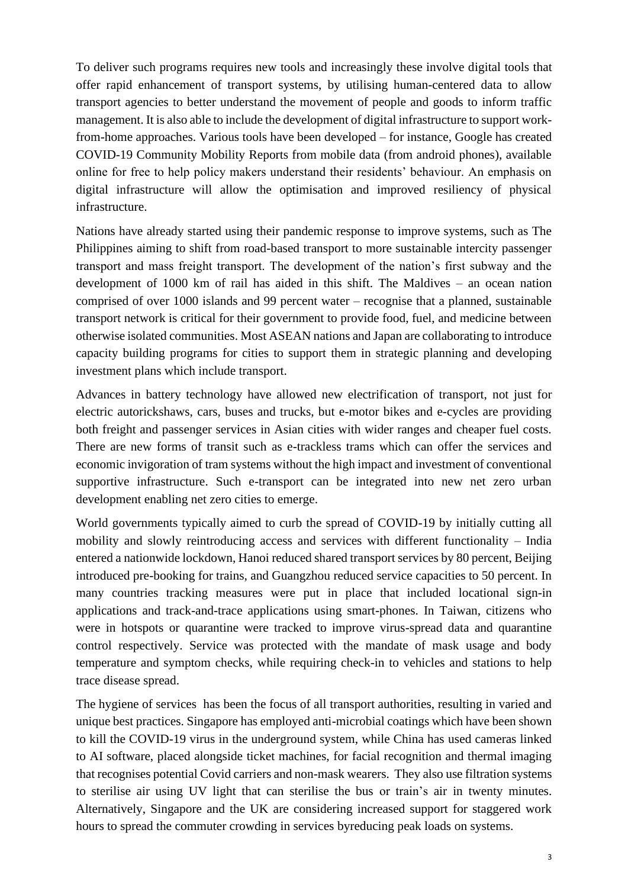To deliver such programs requires new tools and increasingly these involve digital tools that offer rapid enhancement of transport systems, by utilising human-centered data to allow transport agencies to better understand the movement of people and goods to inform traffic management. It is also able to include the development of digital infrastructure to support workfrom-home approaches. Various tools have been developed – for instance, Google has created COVID-19 Community Mobility Reports from mobile data (from android phones), available online for free to help policy makers understand their residents' behaviour. An emphasis on digital infrastructure will allow the optimisation and improved resiliency of physical infrastructure.

Nations have already started using their pandemic response to improve systems, such as The Philippines aiming to shift from road-based transport to more sustainable intercity passenger transport and mass freight transport. The development of the nation's first subway and the development of 1000 km of rail has aided in this shift. The Maldives – an ocean nation comprised of over 1000 islands and 99 percent water – recognise that a planned, sustainable transport network is critical for their government to provide food, fuel, and medicine between otherwise isolated communities. Most ASEAN nations and Japan are collaborating to introduce capacity building programs for cities to support them in strategic planning and developing investment plans which include transport.

Advances in battery technology have allowed new electrification of transport, not just for electric autorickshaws, cars, buses and trucks, but e-motor bikes and e-cycles are providing both freight and passenger services in Asian cities with wider ranges and cheaper fuel costs. There are new forms of transit such as e-trackless trams which can offer the services and economic invigoration of tram systems without the high impact and investment of conventional supportive infrastructure. Such e-transport can be integrated into new net zero urban development enabling net zero cities to emerge.

World governments typically aimed to curb the spread of COVID-19 by initially cutting all mobility and slowly reintroducing access and services with different functionality – India entered a nationwide lockdown, Hanoi reduced shared transport services by 80 percent, Beijing introduced pre-booking for trains, and Guangzhou reduced service capacities to 50 percent. In many countries tracking measures were put in place that included locational sign-in applications and track-and-trace applications using smart-phones. In Taiwan, citizens who were in hotspots or quarantine were tracked to improve virus-spread data and quarantine control respectively. Service was protected with the mandate of mask usage and body temperature and symptom checks, while requiring check-in to vehicles and stations to help trace disease spread.

The hygiene of services has been the focus of all transport authorities, resulting in varied and unique best practices. Singapore has employed anti-microbial coatings which have been shown to kill the COVID-19 virus in the underground system, while China has used cameras linked to AI software, placed alongside ticket machines, for facial recognition and thermal imaging that recognises potential Covid carriers and non-mask wearers. They also use filtration systems to sterilise air using UV light that can sterilise the bus or train's air in twenty minutes. Alternatively, Singapore and the UK are considering increased support for staggered work hours to spread the commuter crowding in services byreducing peak loads on systems.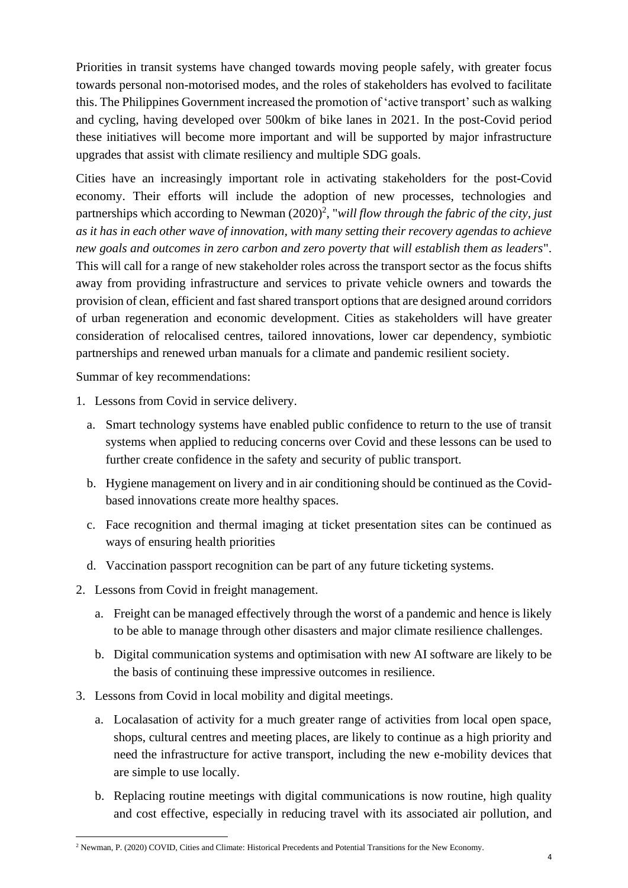Priorities in transit systems have changed towards moving people safely, with greater focus towards personal non-motorised modes, and the roles of stakeholders has evolved to facilitate this. The Philippines Government increased the promotion of 'active transport' such as walking and cycling, having developed over 500km of bike lanes in 2021. In the post-Covid period these initiatives will become more important and will be supported by major infrastructure upgrades that assist with climate resiliency and multiple SDG goals.

Cities have an increasingly important role in activating stakeholders for the post-Covid economy. Their efforts will include the adoption of new processes, technologies and partnerships which according to Newman (2020)<sup>2</sup>, "*will flow through the fabric of the city, just as it has in each other wave of innovation, with many setting their recovery agendas to achieve new goals and outcomes in zero carbon and zero poverty that will establish them as leaders*". This will call for a range of new stakeholder roles across the transport sector as the focus shifts away from providing infrastructure and services to private vehicle owners and towards the provision of clean, efficient and fast shared transport options that are designed around corridors of urban regeneration and economic development. Cities as stakeholders will have greater consideration of relocalised centres, tailored innovations, lower car dependency, symbiotic partnerships and renewed urban manuals for a climate and pandemic resilient society.

Summar of key recommendations:

- 1. Lessons from Covid in service delivery.
	- a. Smart technology systems have enabled public confidence to return to the use of transit systems when applied to reducing concerns over Covid and these lessons can be used to further create confidence in the safety and security of public transport.
	- b. Hygiene management on livery and in air conditioning should be continued as the Covidbased innovations create more healthy spaces.
	- c. Face recognition and thermal imaging at ticket presentation sites can be continued as ways of ensuring health priorities
	- d. Vaccination passport recognition can be part of any future ticketing systems.
- 2. Lessons from Covid in freight management.
	- a. Freight can be managed effectively through the worst of a pandemic and hence is likely to be able to manage through other disasters and major climate resilience challenges.
	- b. Digital communication systems and optimisation with new AI software are likely to be the basis of continuing these impressive outcomes in resilience.
- 3. Lessons from Covid in local mobility and digital meetings.
	- a. Localasation of activity for a much greater range of activities from local open space, shops, cultural centres and meeting places, are likely to continue as a high priority and need the infrastructure for active transport, including the new e-mobility devices that are simple to use locally.
	- b. Replacing routine meetings with digital communications is now routine, high quality and cost effective, especially in reducing travel with its associated air pollution, and

<sup>&</sup>lt;sup>2</sup> Newman, P. (2020) COVID, Cities and Climate: Historical Precedents and Potential Transitions for the New Economy.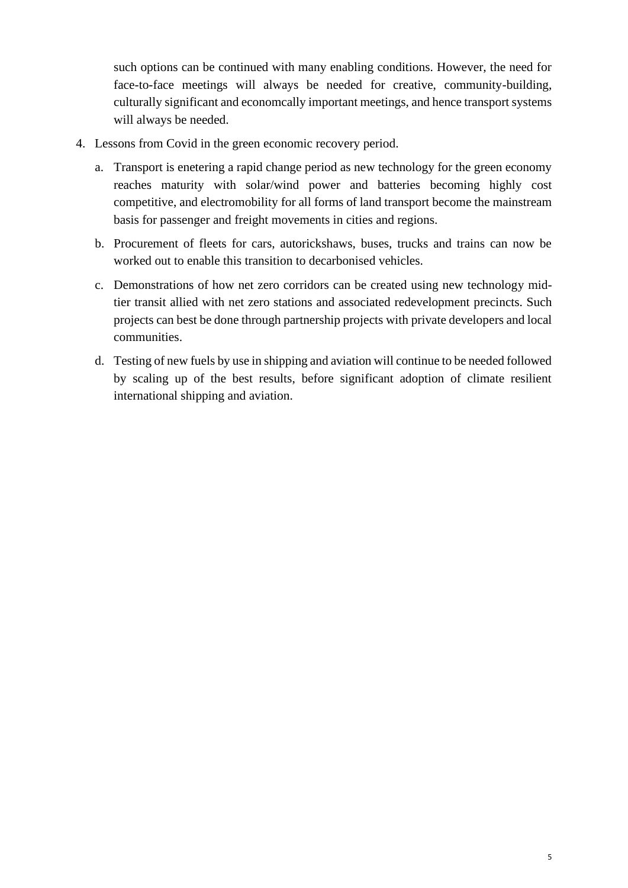such options can be continued with many enabling conditions. However, the need for face-to-face meetings will always be needed for creative, community-building, culturally significant and economcally important meetings, and hence transport systems will always be needed.

- 4. Lessons from Covid in the green economic recovery period.
	- a. Transport is enetering a rapid change period as new technology for the green economy reaches maturity with solar/wind power and batteries becoming highly cost competitive, and electromobility for all forms of land transport become the mainstream basis for passenger and freight movements in cities and regions.
	- b. Procurement of fleets for cars, autorickshaws, buses, trucks and trains can now be worked out to enable this transition to decarbonised vehicles.
	- c. Demonstrations of how net zero corridors can be created using new technology midtier transit allied with net zero stations and associated redevelopment precincts. Such projects can best be done through partnership projects with private developers and local communities.
	- d. Testing of new fuels by use in shipping and aviation will continue to be needed followed by scaling up of the best results, before significant adoption of climate resilient international shipping and aviation.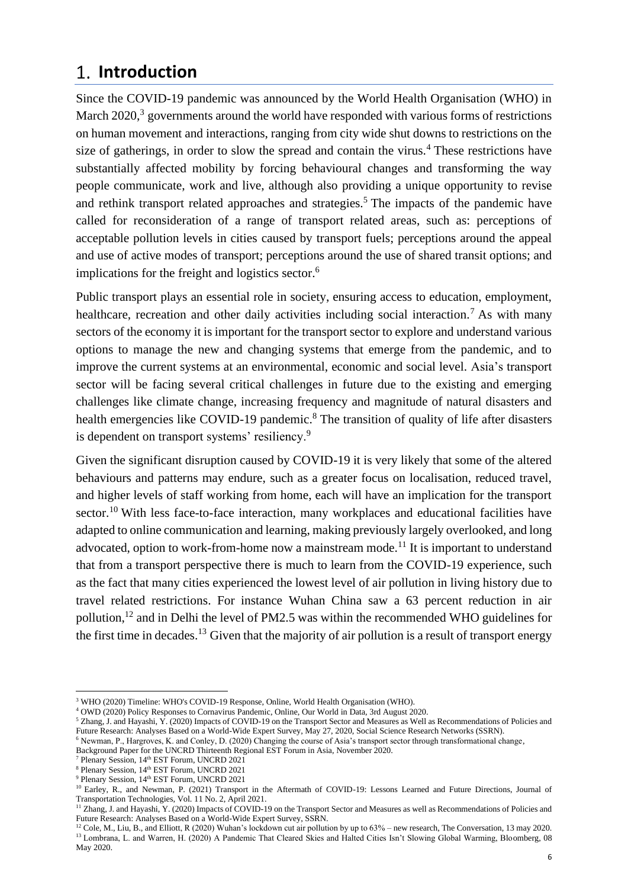### <span id="page-6-0"></span>**Introduction**

Since the COVID-19 pandemic was announced by the World Health Organisation (WHO) in March 2020,<sup>3</sup> governments around the world have responded with various forms of restrictions on human movement and interactions, ranging from city wide shut downs to restrictions on the size of gatherings, in order to slow the spread and contain the virus.<sup>4</sup> These restrictions have substantially affected mobility by forcing behavioural changes and transforming the way people communicate, work and live, although also providing a unique opportunity to revise and rethink transport related approaches and strategies.<sup>5</sup> The impacts of the pandemic have called for reconsideration of a range of transport related areas, such as: perceptions of acceptable pollution levels in cities caused by transport fuels; perceptions around the appeal and use of active modes of transport; perceptions around the use of shared transit options; and implications for the freight and logistics sector. 6

Public transport plays an essential role in society, ensuring access to education, employment, healthcare, recreation and other daily activities including social interaction.<sup>7</sup> As with many sectors of the economy it is important for the transport sector to explore and understand various options to manage the new and changing systems that emerge from the pandemic, and to improve the current systems at an environmental, economic and social level. Asia's transport sector will be facing several critical challenges in future due to the existing and emerging challenges like climate change, increasing frequency and magnitude of natural disasters and health emergencies like COVID-19 pandemic.<sup>8</sup> The transition of quality of life after disasters is dependent on transport systems' resiliency.<sup>9</sup>

Given the significant disruption caused by COVID-19 it is very likely that some of the altered behaviours and patterns may endure, such as a greater focus on localisation, reduced travel, and higher levels of staff working from home, each will have an implication for the transport sector.<sup>10</sup> With less face-to-face interaction, many workplaces and educational facilities have adapted to online communication and learning, making previously largely overlooked, and long advocated, option to work-from-home now a mainstream mode.<sup>11</sup> It is important to understand that from a transport perspective there is much to learn from the COVID-19 experience, such as the fact that many cities experienced the lowest level of air pollution in living history due to travel related restrictions. For instance Wuhan China saw a 63 percent reduction in air pollution,<sup>12</sup> and in Delhi the level of PM2.5 was within the recommended WHO guidelines for the first time in decades.<sup>13</sup> Given that the majority of air pollution is a result of transport energy

- <sup>7</sup> Plenary Session, 14th EST Forum, UNCRD 2021
- <sup>8</sup> Plenary Session, 14<sup>th</sup> EST Forum, UNCRD 2021

<sup>3</sup> WHO (2020) Timeline: WHO's COVID-19 Response, Online, World Health Organisation (WHO).

<sup>4</sup> OWD (2020) Policy Responses to Cornavirus Pandemic, Online, Our World in Data, 3rd August 2020.

<sup>&</sup>lt;sup>5</sup> Zhang, J. and Hayashi, Y. (2020) Impacts of COVID-19 on the Transport Sector and Measures as Well as Recommendations of Policies and Future Research: Analyses Based on a World-Wide Expert Survey, May 27, 2020, Social Science Research Networks (SSRN).

<sup>6</sup> Newman, P., Hargroves, K. and Conley, D. (2020) Changing the course of Asia's transport sector through transformational change,

Background Paper for the UNCRD Thirteenth Regional EST Forum in Asia, November 2020.

<sup>9</sup> Plenary Session, 14<sup>th</sup> EST Forum, UNCRD 2021

<sup>&</sup>lt;sup>10</sup> Earley, R., and Newman, P. (2021) Transport in the Aftermath of COVID-19: Lessons Learned and Future Directions, Journal of Transportation Technologies, Vol. 11 No. 2, April 2021.

<sup>&</sup>lt;sup>11</sup> Zhang, J. and Hayashi, Y. (2020) Impacts of COVID-19 on the Transport Sector and Measures as well as Recommendations of Policies and Future Research: Analyses Based on a World-Wide Expert Survey, SSRN.

<sup>&</sup>lt;sup>12</sup> Cole, M., Liu, B., and Elliott, R (2020) Wuhan's lockdown cut air pollution by up to 63% – new research, The Conversation, 13 may 2020. <sup>13</sup> Lombrana, L. and Warren, H. (2020) A Pandemic That Cleared Skies and Halted Cities Isn't Slowing Global Warming, Bloomberg, 08 May 2020.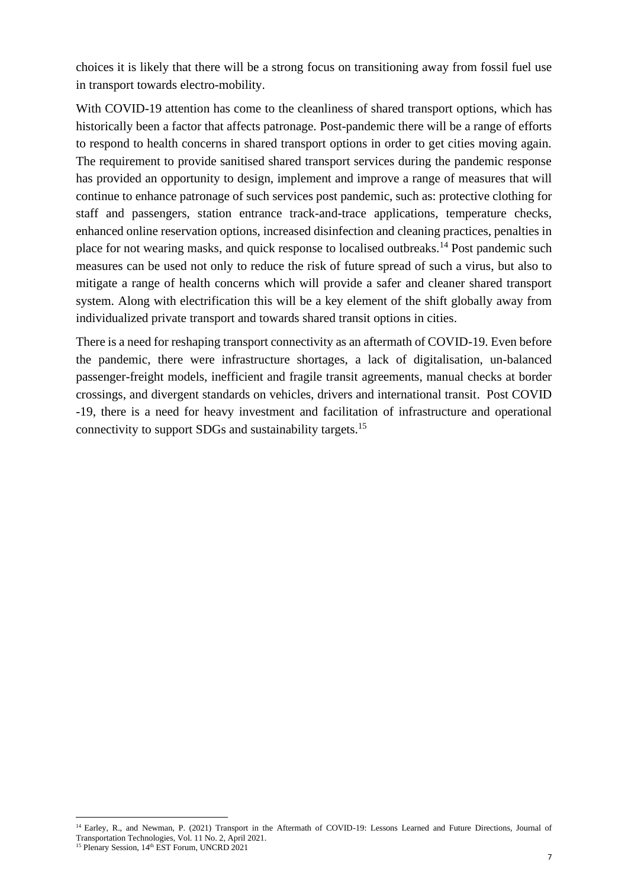choices it is likely that there will be a strong focus on transitioning away from fossil fuel use in transport towards electro-mobility.

With COVID-19 attention has come to the cleanliness of shared transport options, which has historically been a factor that affects patronage. Post-pandemic there will be a range of efforts to respond to health concerns in shared transport options in order to get cities moving again. The requirement to provide sanitised shared transport services during the pandemic response has provided an opportunity to design, implement and improve a range of measures that will continue to enhance patronage of such services post pandemic, such as: protective clothing for staff and passengers, station entrance track-and-trace applications, temperature checks, enhanced online reservation options, increased disinfection and cleaning practices, penalties in place for not wearing masks, and quick response to localised outbreaks.<sup>14</sup> Post pandemic such measures can be used not only to reduce the risk of future spread of such a virus, but also to mitigate a range of health concerns which will provide a safer and cleaner shared transport system. Along with electrification this will be a key element of the shift globally away from individualized private transport and towards shared transit options in cities.

There is a need for reshaping transport connectivity as an aftermath of COVID-19. Even before the pandemic, there were infrastructure shortages, a lack of digitalisation, un-balanced passenger-freight models, inefficient and fragile transit agreements, manual checks at border crossings, and divergent standards on vehicles, drivers and international transit. Post COVID -19, there is a need for heavy investment and facilitation of infrastructure and operational connectivity to support SDGs and sustainability targets.<sup>15</sup>

<sup>&</sup>lt;sup>14</sup> Earley, R., and Newman, P. (2021) Transport in the Aftermath of COVID-19: Lessons Learned and Future Directions, Journal of Transportation Technologies, Vol. 11 No. 2, April 2021.  $15$  Plenary Session,  $14<sup>th</sup> EST Forum$ , UNCRD 2021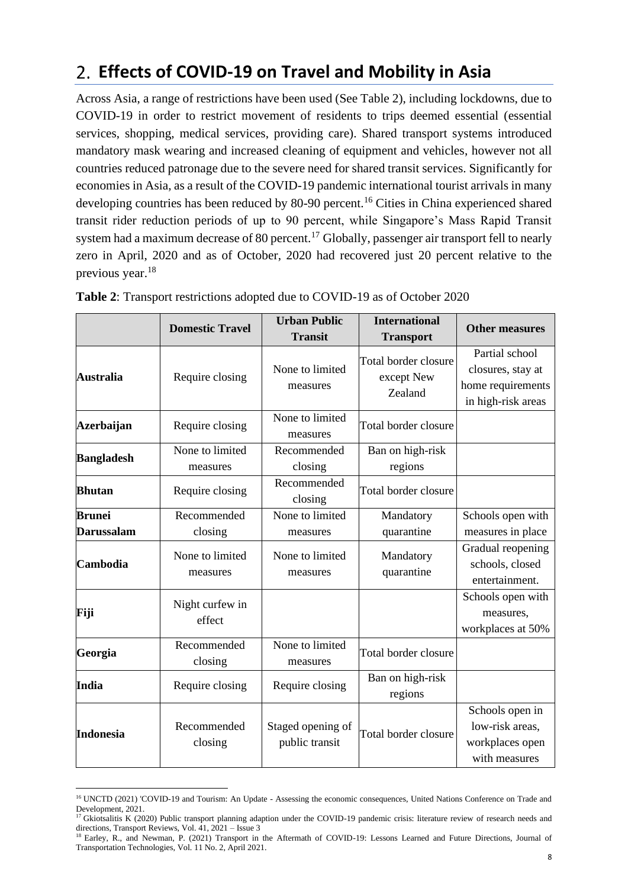# <span id="page-8-0"></span>**Effects of COVID-19 on Travel and Mobility in Asia**

Across Asia, a range of restrictions have been used (See Table 2), including lockdowns, due to COVID-19 in order to restrict movement of residents to trips deemed essential (essential services, shopping, medical services, providing care). Shared transport systems introduced mandatory mask wearing and increased cleaning of equipment and vehicles, however not all countries reduced patronage due to the severe need for shared transit services. Significantly for economies in Asia, as a result of the COVID-19 pandemic international tourist arrivals in many developing countries has been reduced by 80-90 percent.<sup>16</sup> Cities in China experienced shared transit rider reduction periods of up to 90 percent, while Singapore's Mass Rapid Transit system had a maximum decrease of 80 percent.<sup>17</sup> Globally, passenger air transport fell to nearly zero in April, 2020 and as of October, 2020 had recovered just 20 percent relative to the previous year. 18

|                   | <b>Domestic Travel</b>      | <b>Urban Public</b><br><b>Transit</b> | <b>International</b><br><b>Transport</b>      | <b>Other measures</b>                                                          |
|-------------------|-----------------------------|---------------------------------------|-----------------------------------------------|--------------------------------------------------------------------------------|
| Australia         | Require closing             | None to limited<br>measures           | Total border closure<br>except New<br>Zealand | Partial school<br>closures, stay at<br>home requirements<br>in high-risk areas |
| Azerbaijan        | Require closing             | None to limited<br>measures           | Total border closure                          |                                                                                |
| <b>Bangladesh</b> | None to limited<br>measures | Recommended<br>closing                | Ban on high-risk<br>regions                   |                                                                                |
| <b>Bhutan</b>     | Require closing             | Recommended<br>closing                | Total border closure                          |                                                                                |
| <b>Brunei</b>     | Recommended                 | None to limited                       | Mandatory                                     | Schools open with                                                              |
| <b>Darussalam</b> | closing                     | measures                              | quarantine                                    | measures in place                                                              |
| Cambodia          | None to limited<br>measures | None to limited<br>measures           | Mandatory<br>quarantine                       | Gradual reopening<br>schools, closed<br>entertainment.                         |
| Fiji              | Night curfew in<br>effect   |                                       |                                               | Schools open with<br>measures,<br>workplaces at 50%                            |
| Georgia           | Recommended<br>closing      | None to limited<br>measures           | Total border closure                          |                                                                                |
| <b>India</b>      | Require closing             | Require closing                       | Ban on high-risk<br>regions                   |                                                                                |
| <b>Indonesia</b>  | Recommended<br>closing      | Staged opening of<br>public transit   | Total border closure                          | Schools open in<br>low-risk areas,<br>workplaces open<br>with measures         |

|  | Table 2: Transport restrictions adopted due to COVID-19 as of October 2020 |  |  |  |  |
|--|----------------------------------------------------------------------------|--|--|--|--|
|  |                                                                            |  |  |  |  |

<sup>&</sup>lt;sup>16</sup> UNCTD (2021) 'COVID-19 and Tourism: An Update - Assessing the economic consequences, United Nations Conference on Trade and Development, 2021.

<sup>&</sup>lt;sup>17</sup> Gkiotsalitis K (2020) Public transport planning adaption under the COVID-19 pandemic crisis: literature review of research needs and directions, Transport Reviews, Vol. 41, 2021 – Issue 3

<sup>&</sup>lt;sup>18</sup> Earley, R., and Newman, P. (2021) Transport in the Aftermath of COVID-19: Lessons Learned and Future Directions, Journal of Transportation Technologies, Vol. 11 No. 2, April 2021.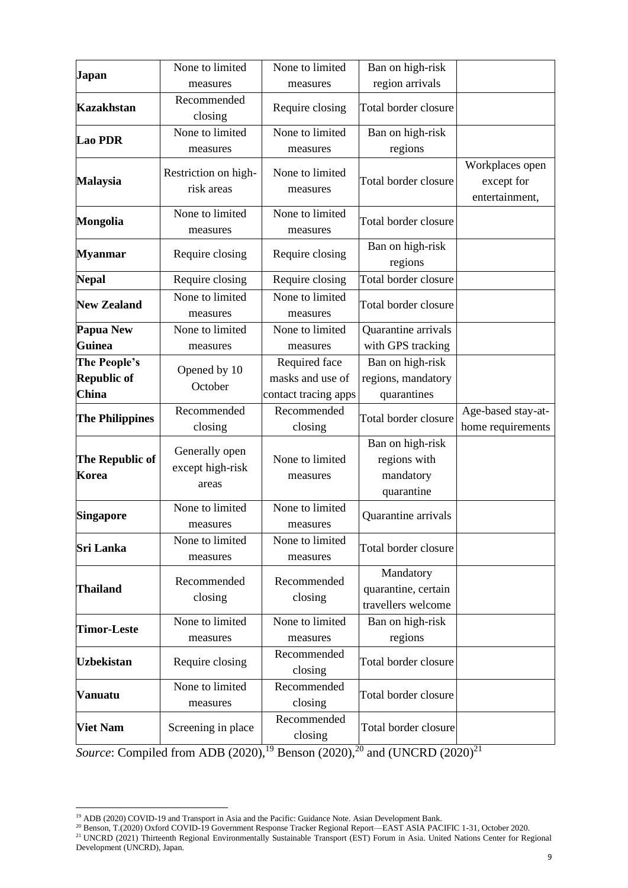| Japan                    | None to limited                             | None to limited             | Ban on high-risk                                            |                                                 |
|--------------------------|---------------------------------------------|-----------------------------|-------------------------------------------------------------|-------------------------------------------------|
|                          | measures                                    | measures                    | region arrivals                                             |                                                 |
| <b>Kazakhstan</b>        | Recommended<br>closing                      | Require closing             | Total border closure                                        |                                                 |
| <b>Lao PDR</b>           | None to limited                             | None to limited             | Ban on high-risk                                            |                                                 |
|                          | measures                                    | measures                    | regions                                                     |                                                 |
| <b>Malaysia</b>          | Restriction on high-<br>risk areas          | None to limited<br>measures | Total border closure                                        | Workplaces open<br>except for<br>entertainment, |
| <b>Mongolia</b>          | None to limited<br>measures                 | None to limited<br>measures | Total border closure                                        |                                                 |
| <b>Myanmar</b>           | Require closing                             | Require closing             | Ban on high-risk<br>regions                                 |                                                 |
| <b>Nepal</b>             | Require closing                             | Require closing             | Total border closure                                        |                                                 |
| <b>New Zealand</b>       | None to limited<br>measures                 | None to limited<br>measures | Total border closure                                        |                                                 |
| Papua New                | None to limited                             | None to limited             | Quarantine arrivals                                         |                                                 |
| <b>Guinea</b>            | measures                                    | measures                    | with GPS tracking                                           |                                                 |
| The People's             |                                             | Required face               | Ban on high-risk                                            |                                                 |
| Republic of              | Opened by 10                                | masks and use of            | regions, mandatory                                          |                                                 |
| <b>China</b>             | October                                     | contact tracing apps        | quarantines                                                 |                                                 |
|                          | Recommended                                 | Recommended                 |                                                             | Age-based stay-at-                              |
| <b>The Philippines</b>   | closing                                     | closing                     | Total border closure                                        | home requirements                               |
| The Republic of<br>Korea | Generally open<br>except high-risk<br>areas | None to limited<br>measures | Ban on high-risk<br>regions with<br>mandatory<br>quarantine |                                                 |
| <b>Singapore</b>         | None to limited                             | None to limited             |                                                             |                                                 |
|                          | measures                                    | measures                    | Quarantine arrivals                                         |                                                 |
| <b>Sri Lanka</b>         | None to limited<br>measures                 | None to limited<br>measures | Total border closure                                        |                                                 |
| Thailand                 | Recommended<br>closing                      | Recommended<br>closing      | Mandatory<br>quarantine, certain<br>travellers welcome      |                                                 |
|                          | None to limited                             | None to limited             | Ban on high-risk                                            |                                                 |
| <b>Timor-Leste</b>       | measures                                    | measures                    | regions                                                     |                                                 |
| <b>Uzbekistan</b>        | Require closing                             | Recommended<br>closing      | Total border closure                                        |                                                 |
| <b>Vanuatu</b>           | None to limited<br>measures                 | Recommended<br>closing      | Total border closure                                        |                                                 |
| <b>Viet Nam</b>          | Screening in place                          | Recommended<br>closing      | Total border closure                                        |                                                 |

*Source*: Compiled from ADB  $\overline{(2020)}$ ,<sup>19</sup> Benson (2020),<sup>20</sup> and (UNCRD (2020)<sup>21</sup>

<sup>&</sup>lt;sup>19</sup> ADB (2020) COVID-19 and Transport in Asia and the Pacific: Guidance Note. Asian Development Bank.

<sup>&</sup>lt;sup>20</sup> Benson, T.(2020) Oxford COVID-19 Government Response Tracker Regional Report—EAST ASIA PACIFIC 1-31, October 2020. <sup>21</sup> UNCRD (2021) Thirteenth Regional Environmentally Sustainable Transport (EST) Forum in Asia. United Nations Center for Regional Development (UNCRD), Japan.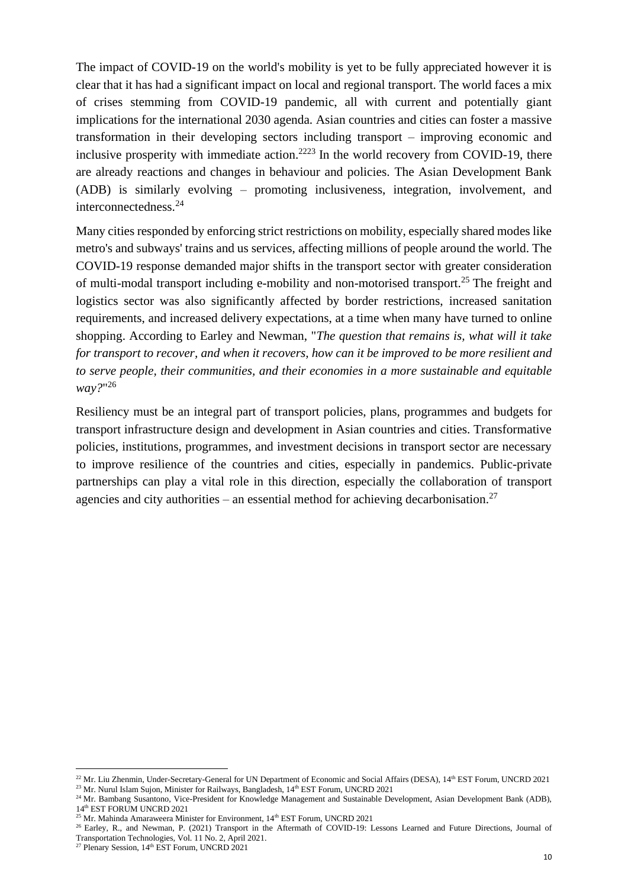The impact of COVID-19 on the world's mobility is yet to be fully appreciated however it is clear that it has had a significant impact on local and regional transport. The world faces a mix of crises stemming from COVID-19 pandemic, all with current and potentially giant implications for the international 2030 agenda. Asian countries and cities can foster a massive transformation in their developing sectors including transport – improving economic and inclusive prosperity with immediate action.<sup>2223</sup> In the world recovery from COVID-19, there are already reactions and changes in behaviour and policies. The Asian Development Bank (ADB) is similarly evolving – promoting inclusiveness, integration, involvement, and interconnectedness.<sup>24</sup>

Many cities responded by enforcing strict restrictions on mobility, especially shared modes like metro's and subways' trains and us services, affecting millions of people around the world. The COVID-19 response demanded major shifts in the transport sector with greater consideration of multi-modal transport including e-mobility and non-motorised transport.<sup>25</sup> The freight and logistics sector was also significantly affected by border restrictions, increased sanitation requirements, and increased delivery expectations, at a time when many have turned to online shopping. According to Earley and Newman, "*The question that remains is, what will it take for transport to recover, and when it recovers, how can it be improved to be more resilient and to serve people, their communities, and their economies in a more sustainable and equitable way?*" 26

Resiliency must be an integral part of transport policies, plans, programmes and budgets for transport infrastructure design and development in Asian countries and cities. Transformative policies, institutions, programmes, and investment decisions in transport sector are necessary to improve resilience of the countries and cities, especially in pandemics. Public-private partnerships can play a vital role in this direction, especially the collaboration of transport agencies and city authorities – an essential method for achieving decarbonisation.<sup>27</sup>

<sup>&</sup>lt;sup>22</sup> Mr. Liu Zhenmin, Under-Secretary-General for UN Department of Economic and Social Affairs (DESA), 14<sup>th</sup> EST Forum, UNCRD 2021 <sup>23</sup> Mr. Nurul Islam Sujon, Minister for Railways, Bangladesh, 14<sup>th</sup> EST Forum, UNCRD 2021

<sup>&</sup>lt;sup>24</sup> Mr. Bambang Susantono, Vice-President for Knowledge Management and Sustainable Development, Asian Development Bank (ADB), 14th EST FORUM UNCRD 2021

 $^{25}$  Mr. Mahinda Amaraweera Minister for Environment,  $14<sup>th</sup>$  EST Forum, UNCRD 2021

<sup>&</sup>lt;sup>26</sup> Earley, R., and Newman, P. (2021) Transport in the Aftermath of COVID-19: Lessons Learned and Future Directions, Journal of Transportation Technologies, Vol. 11 No. 2, April 2021.

<sup>&</sup>lt;sup>27</sup> Plenary Session, 14<sup>th</sup> EST Forum, UNCRD 2021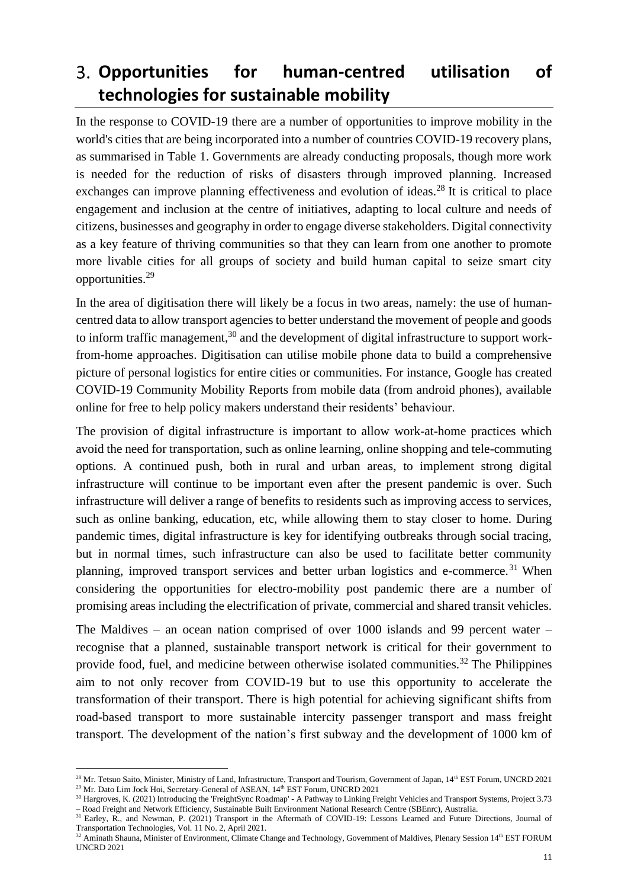# <span id="page-11-0"></span>**Opportunities for human-centred utilisation of technologies for sustainable mobility**

In the response to COVID-19 there are a number of opportunities to improve mobility in the world's cities that are being incorporated into a number of countries COVID-19 recovery plans, as summarised in Table 1. Governments are already conducting proposals, though more work is needed for the reduction of risks of disasters through improved planning. Increased exchanges can improve planning effectiveness and evolution of ideas.<sup>28</sup> It is critical to place engagement and inclusion at the centre of initiatives, adapting to local culture and needs of citizens, businesses and geography in order to engage diverse stakeholders. Digital connectivity as a key feature of thriving communities so that they can learn from one another to promote more livable cities for all groups of society and build human capital to seize smart city opportunities.<sup>29</sup>

In the area of digitisation there will likely be a focus in two areas, namely: the use of humancentred data to allow transport agencies to better understand the movement of people and goods to inform traffic management,<sup>30</sup> and the development of digital infrastructure to support workfrom-home approaches. Digitisation can utilise mobile phone data to build a comprehensive picture of personal logistics for entire cities or communities. For instance, Google has created COVID-19 Community Mobility Reports from mobile data (from android phones), available online for free to help policy makers understand their residents' behaviour.

The provision of digital infrastructure is important to allow work-at-home practices which avoid the need for transportation, such as online learning, online shopping and tele-commuting options. A continued push, both in rural and urban areas, to implement strong digital infrastructure will continue to be important even after the present pandemic is over. Such infrastructure will deliver a range of benefits to residents such as improving access to services, such as online banking, education, etc, while allowing them to stay closer to home. During pandemic times, digital infrastructure is key for identifying outbreaks through social tracing, but in normal times, such infrastructure can also be used to facilitate better community planning, improved transport services and better urban logistics and e-commerce. <sup>31</sup> When considering the opportunities for electro-mobility post pandemic there are a number of promising areas including the electrification of private, commercial and shared transit vehicles.

The Maldives – an ocean nation comprised of over 1000 islands and 99 percent water – recognise that a planned, sustainable transport network is critical for their government to provide food, fuel, and medicine between otherwise isolated communities.<sup>32</sup> The Philippines aim to not only recover from COVID-19 but to use this opportunity to accelerate the transformation of their transport. There is high potential for achieving significant shifts from road-based transport to more sustainable intercity passenger transport and mass freight transport. The development of the nation's first subway and the development of 1000 km of

<sup>&</sup>lt;sup>28</sup> Mr. Tetsuo Saito, Minister, Ministry of Land, Infrastructure, Transport and Tourism, Government of Japan, 14<sup>th</sup> EST Forum, UNCRD 2021 <sup>29</sup> Mr. Dato Lim Jock Hoi, Secretary-General of ASEAN, 14<sup>th</sup> EST Forum, UNCRD 2021

<sup>&</sup>lt;sup>30</sup> Hargroves, K. (2021) Introducing the 'FreightSync Roadmap' - A Pathway to Linking Freight Vehicles and Transport Systems, Project 3.73 – Road Freight and Network Efficiency, Sustainable Built Environment National Research Centre (SBEnrc), Australia.

<sup>&</sup>lt;sup>31</sup> Earley, R., and Newman, P. (2021) Transport in the Aftermath of COVID-19: Lessons Learned and Future Directions, Journal of Transportation Technologies, Vol. 11 No. 2, April 2021.

<sup>&</sup>lt;sup>32</sup> Aminath Shauna, Minister of Environment, Climate Change and Technology, Government of Maldives, Plenary Session 14<sup>th</sup> EST FORUM UNCRD 2021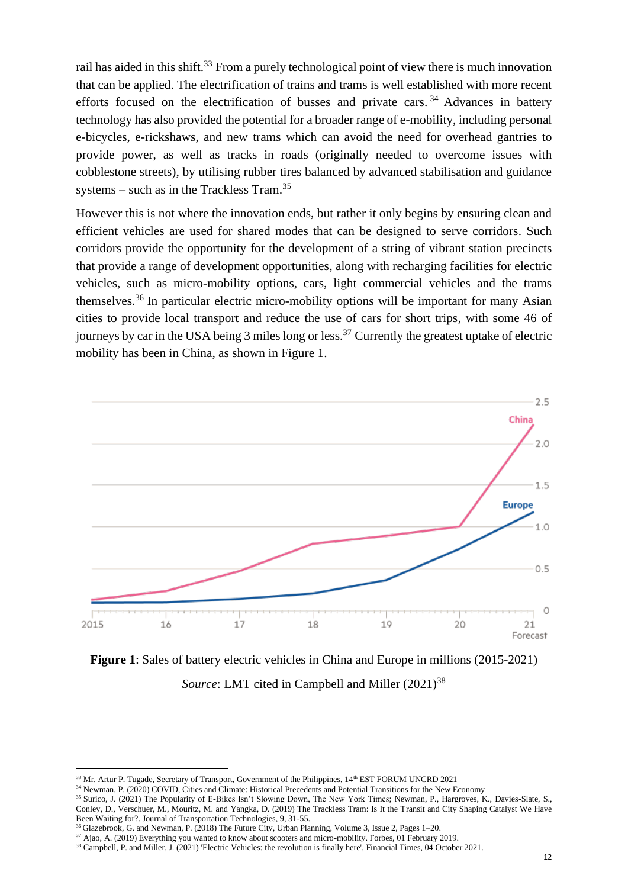rail has aided in this shift.<sup>33</sup> From a purely technological point of view there is much innovation that can be applied. The electrification of trains and trams is well established with more recent efforts focused on the electrification of busses and private cars.<sup>34</sup> Advances in battery technology has also provided the potential for a broader range of e-mobility, including personal e-bicycles, e-rickshaws, and new trams which can avoid the need for overhead gantries to provide power, as well as tracks in roads (originally needed to overcome issues with cobblestone streets), by utilising rubber tires balanced by advanced stabilisation and guidance systems – such as in the Trackless Tram.<sup>35</sup>

However this is not where the innovation ends, but rather it only begins by ensuring clean and efficient vehicles are used for shared modes that can be designed to serve corridors. Such corridors provide the opportunity for the development of a string of vibrant station precincts that provide a range of development opportunities, along with recharging facilities for electric vehicles, such as micro-mobility options, cars, light commercial vehicles and the trams themselves.<sup>36</sup> In particular electric micro-mobility options will be important for many Asian cities to provide local transport and reduce the use of cars for short trips, with some 46 of journeys by car in the USA being  $3$  miles long or less.<sup>37</sup> Currently the greatest uptake of electric mobility has been in China, as shown in Figure 1.



**Figure 1**: Sales of battery electric vehicles in China and Europe in millions (2015-2021) *Source*: LMT cited in Campbell and Miller (2021)<sup>38</sup>

<sup>&</sup>lt;sup>33</sup> Mr. Artur P. Tugade, Secretary of Transport, Government of the Philippines, 14<sup>th</sup> EST FORUM UNCRD 2021

<sup>&</sup>lt;sup>34</sup> Newman, P. (2020) COVID, Cities and Climate: Historical Precedents and Potential Transitions for the New Economy

<sup>&</sup>lt;sup>35</sup> Surico, J. (2021) The Popularity of E-Bikes Isn't Slowing Down, The New York Times; Newman, P., Hargroves, K., Davies-Slate, S., Conley, D., Verschuer, M., Mouritz, M. and Yangka, D. (2019) The Trackless Tram: Is It the Transit and City Shaping Catalyst We Have Been Waiting for?. Journal of Transportation Technologies, 9, 31-55.

<sup>36</sup> Glazebrook, G. and Newman, P. (2018) The Future City, Urban Planning, Volume 3, Issue 2, Pages 1–20.

<sup>&</sup>lt;sup>37</sup> Ajao, A. (2019) Everything you wanted to know about scooters and micro-mobility. Forbes, 01 February 2019.

<sup>38</sup> Campbell, P. and Miller, J. (2021) 'Electric Vehicles: the revolution is finally here', Financial Times, 04 October 2021.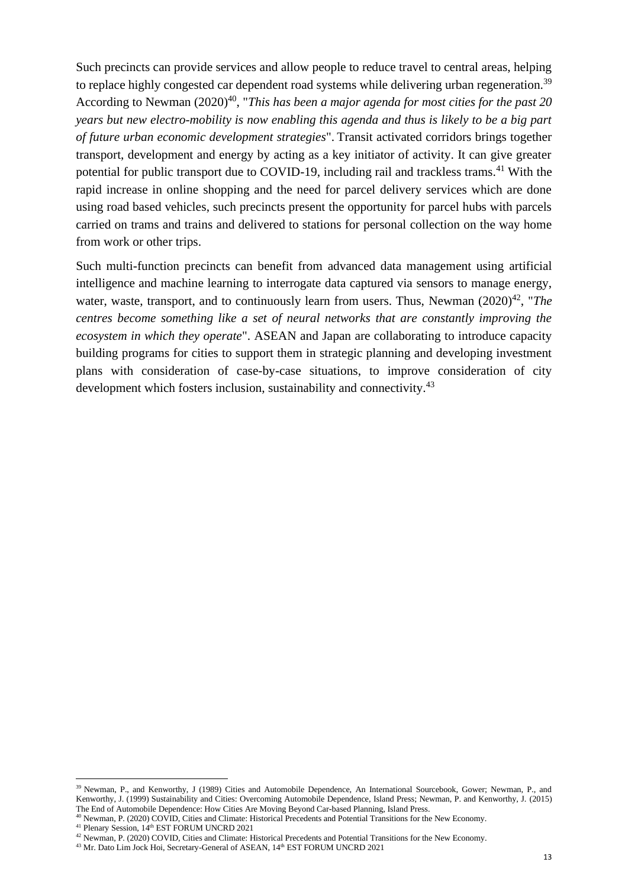Such precincts can provide services and allow people to reduce travel to central areas, helping to replace highly congested car dependent road systems while delivering urban regeneration.<sup>39</sup> According to Newman (2020) <sup>40</sup>, "*This has been a major agenda for most cities for the past 20 years but new electro-mobility is now enabling this agenda and thus is likely to be a big part of future urban economic development strategies*". Transit activated corridors brings together transport, development and energy by acting as a key initiator of activity. It can give greater potential for public transport due to COVID-19, including rail and trackless trams.<sup>41</sup> With the rapid increase in online shopping and the need for parcel delivery services which are done using road based vehicles, such precincts present the opportunity for parcel hubs with parcels carried on trams and trains and delivered to stations for personal collection on the way home from work or other trips.

Such multi-function precincts can benefit from advanced data management using artificial intelligence and machine learning to interrogate data captured via sensors to manage energy, water, waste, transport, and to continuously learn from users. Thus, Newman (2020)<sup>42</sup>, "The *centres become something like a set of neural networks that are constantly improving the ecosystem in which they operate*". ASEAN and Japan are collaborating to introduce capacity building programs for cities to support them in strategic planning and developing investment plans with consideration of case-by-case situations, to improve consideration of city development which fosters inclusion, sustainability and connectivity.<sup>43</sup>

<sup>&</sup>lt;sup>39</sup> Newman, P., and Kenworthy, J (1989) Cities and Automobile Dependence, An International Sourcebook, Gower; Newman, P., and Kenworthy, J. (1999) Sustainability and Cities: Overcoming Automobile Dependence, Island Press; Newman, P. and Kenworthy, J. (2015) The End of Automobile Dependence: How Cities Are Moving Beyond Car-based Planning, Island Press.

<sup>40</sup> Newman, P. (2020) COVID, Cities and Climate: Historical Precedents and Potential Transitions for the New Economy.

<sup>&</sup>lt;sup>41</sup> Plenary Session, 14<sup>th</sup> EST FORUM UNCRD 2021

<sup>&</sup>lt;sup>42</sup> Newman, P. (2020) COVID, Cities and Climate: Historical Precedents and Potential Transitions for the New Economy.

<sup>&</sup>lt;sup>43</sup> Mr. Dato Lim Jock Hoi, Secretary-General of ASEAN, 14<sup>th</sup> EST FORUM UNCRD 2021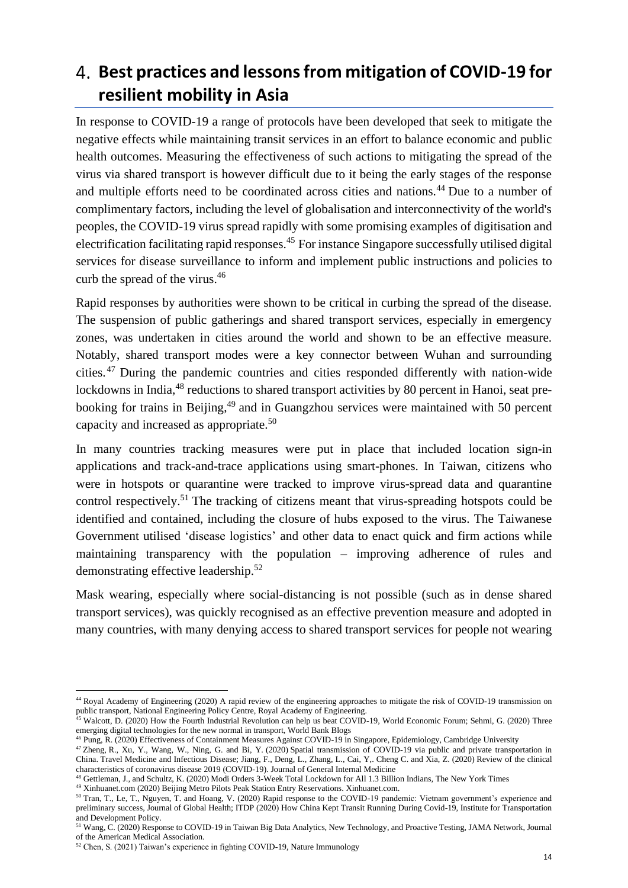# <span id="page-14-0"></span>**Best practices and lessons from mitigation of COVID-19 for resilient mobility in Asia**

In response to COVID-19 a range of protocols have been developed that seek to mitigate the negative effects while maintaining transit services in an effort to balance economic and public health outcomes. Measuring the effectiveness of such actions to mitigating the spread of the virus via shared transport is however difficult due to it being the early stages of the response and multiple efforts need to be coordinated across cities and nations.<sup>44</sup> Due to a number of complimentary factors, including the level of globalisation and interconnectivity of the world's peoples, the COVID-19 virus spread rapidly with some promising examples of digitisation and electrification facilitating rapid responses.<sup>45</sup> For instance Singapore successfully utilised digital services for disease surveillance to inform and implement public instructions and policies to curb the spread of the virus.<sup>46</sup>

Rapid responses by authorities were shown to be critical in curbing the spread of the disease. The suspension of public gatherings and shared transport services, especially in emergency zones, was undertaken in cities around the world and shown to be an effective measure. Notably, shared transport modes were a key connector between Wuhan and surrounding cities. <sup>47</sup> During the pandemic countries and cities responded differently with nation-wide lockdowns in India,<sup>48</sup> reductions to shared transport activities by 80 percent in Hanoi, seat prebooking for trains in Beijing,<sup>49</sup> and in Guangzhou services were maintained with 50 percent capacity and increased as appropriate. 50

In many countries tracking measures were put in place that included location sign-in applications and track-and-trace applications using smart-phones. In Taiwan, citizens who were in hotspots or quarantine were tracked to improve virus-spread data and quarantine control respectively.<sup>51</sup> The tracking of citizens meant that virus-spreading hotspots could be identified and contained, including the closure of hubs exposed to the virus. The Taiwanese Government utilised 'disease logistics' and other data to enact quick and firm actions while maintaining transparency with the population – improving adherence of rules and demonstrating effective leadership. 52

Mask wearing, especially where social-distancing is not possible (such as in dense shared transport services), was quickly recognised as an effective prevention measure and adopted in many countries, with many denying access to shared transport services for people not wearing

<sup>&</sup>lt;sup>44</sup> Royal Academy of Engineering (2020) A rapid review of the engineering approaches to mitigate the risk of COVID-19 transmission on public transport, National Engineering Policy Centre, Royal Academy of Engineering.

<sup>&</sup>lt;sup>45</sup> Walcott, D. (2020) How the Fourth Industrial Revolution can help us beat COVID-19, World Economic Forum; Sehmi, G. (2020) Three emerging digital technologies for the new normal in transport, World Bank Blogs

<sup>46</sup> Pung, R. (2020) Effectiveness of Containment Measures Against COVID-19 in Singapore, Epidemiology, Cambridge University

<sup>&</sup>lt;sup>47</sup> Zheng, R., Xu, Y., Wang, W., Ning, G. and Bi, Y. (2020) Spatial transmission of COVID-19 via public and private transportation in China. Travel Medicine and Infectious Disease; Jiang, F., Deng, L., Zhang, L., Cai, Y,. Cheng C. and Xia, Z. (2020) Review of the clinical characteristics of coronavirus disease 2019 (COVID-19). Journal of General Internal Medicine

<sup>48</sup> Gettleman, J., and Schultz, K. (2020) Modi Orders 3-Week Total Lockdown for All 1.3 Billion Indians, The New York Times

<sup>49</sup> Xinhuanet.com (2020) Beijing Metro Pilots Peak Station Entry Reservations. Xinhuanet.com.

<sup>&</sup>lt;sup>50</sup> Tran, T., Le, T., Nguyen, T. and Hoang, V. (2020) Rapid response to the COVID-19 pandemic: Vietnam government's experience and preliminary success, Journal of Global Health; ITDP (2020) How China Kept Transit Running During Covid-19, Institute for Transportation and Development Policy.

<sup>&</sup>lt;sup>51</sup> Wang, C. (2020) Response to COVID-19 in Taiwan Big Data Analytics, New Technology, and Proactive Testing, JAMA Network, Journal of the American Medical Association.

<sup>52</sup> Chen, S. (2021) Taiwan's experience in fighting COVID-19, Nature Immunology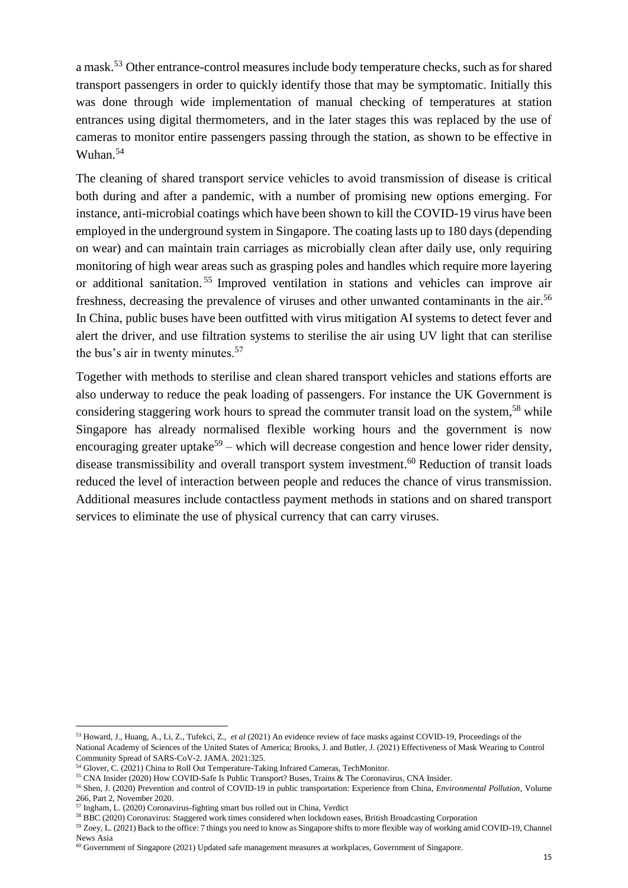a mask.<sup>53</sup> Other entrance-control measures include body temperature checks, such as for shared transport passengers in order to quickly identify those that may be symptomatic. Initially this was done through wide implementation of manual checking of temperatures at station entrances using digital thermometers, and in the later stages this was replaced by the use of cameras to monitor entire passengers passing through the station, as shown to be effective in Wuhan. 54

The cleaning of shared transport service vehicles to avoid transmission of disease is critical both during and after a pandemic, with a number of promising new options emerging. For instance, anti-microbial coatings which have been shown to kill the COVID-19 virus have been employed in the underground system in Singapore. The coating lasts up to 180 days (depending on wear) and can maintain train carriages as microbially clean after daily use, only requiring monitoring of high wear areas such as grasping poles and handles which require more layering or additional sanitation. <sup>55</sup> Improved ventilation in stations and vehicles can improve air freshness, decreasing the prevalence of viruses and other unwanted contaminants in the air.<sup>56</sup> In China, public buses have been outfitted with virus mitigation AI systems to detect fever and alert the driver, and use filtration systems to sterilise the air using UV light that can sterilise the bus's air in twenty minutes.<sup>57</sup>

Together with methods to sterilise and clean shared transport vehicles and stations efforts are also underway to reduce the peak loading of passengers. For instance the UK Government is considering staggering work hours to spread the commuter transit load on the system,<sup>58</sup> while Singapore has already normalised flexible working hours and the government is now encouraging greater uptake<sup>59</sup> – which will decrease congestion and hence lower rider density, disease transmissibility and overall transport system investment. <sup>60</sup> Reduction of transit loads reduced the level of interaction between people and reduces the chance of virus transmission. Additional measures include contactless payment methods in stations and on shared transport services to eliminate the use of physical currency that can carry viruses.

<sup>53</sup> Howard, J., Huang, A., Li, Z., Tufekci, Z., *et al* (2021) An evidence review of face masks against COVID-19, Proceedings of the National Academy of Sciences of the United States of America; Brooks, J. and Butler, J. (2021) Effectiveness of Mask Wearing to Control Community Spread of SARS-CoV-2. JAMA. 2021:325.

<sup>54</sup> Glover, C. (2021) China to Roll Out Temperature-Taking Infrared Cameras, TechMonitor.

<sup>55</sup> CNA Insider (2020) How COVID-Safe Is Public Transport? Buses, Trains & The Coronavirus, CNA Insider.

<sup>56</sup> Shen, J. (2020) Prevention and control of COVID-19 in public transportation: Experience from China, *Environmental Pollution*, Volume 266, Part 2, November 2020.

<sup>57</sup> Ingham, L. (2020) Coronavirus-fighting smart bus rolled out in China, Verdict

<sup>58</sup> BBC (2020) Coronavirus: Staggered work times considered when lockdown eases, British Broadcasting Corporation

<sup>59</sup> Zoey, L. (2021) Back to the office: 7 things you need to know as Singapore shifts to more flexible way of working amid COVID-19, Channel News Asia

<sup>60</sup> Government of Singapore (2021) Updated safe management measures at workplaces, Government of Singapore.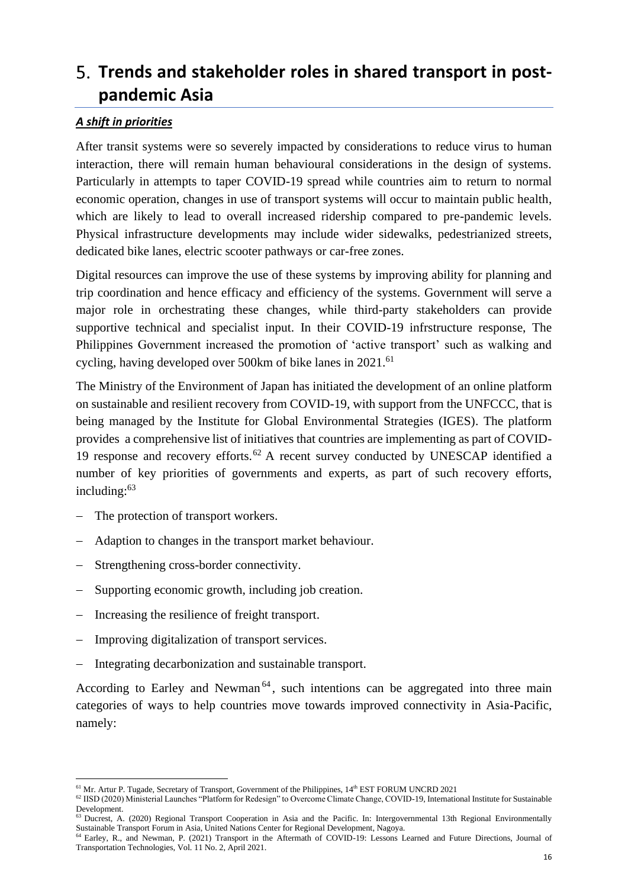# <span id="page-16-0"></span>**Trends and stakeholder roles in shared transport in postpandemic Asia**

### <span id="page-16-1"></span>*A shift in priorities*

After transit systems were so severely impacted by considerations to reduce virus to human interaction, there will remain human behavioural considerations in the design of systems. Particularly in attempts to taper COVID-19 spread while countries aim to return to normal economic operation, changes in use of transport systems will occur to maintain public health, which are likely to lead to overall increased ridership compared to pre-pandemic levels. Physical infrastructure developments may include wider sidewalks, pedestrianized streets, dedicated bike lanes, electric scooter pathways or car-free zones.

Digital resources can improve the use of these systems by improving ability for planning and trip coordination and hence efficacy and efficiency of the systems. Government will serve a major role in orchestrating these changes, while third-party stakeholders can provide supportive technical and specialist input. In their COVID-19 infrstructure response, The Philippines Government increased the promotion of 'active transport' such as walking and cycling, having developed over 500km of bike lanes in 2021.<sup>61</sup>

The Ministry of the Environment of Japan has initiated the development of an online platform on sustainable and resilient recovery from COVID-19, with support from the UNFCCC, that is being managed by the Institute for Global Environmental Strategies (IGES). The platform provides a comprehensive list of initiatives that countries are implementing as part of COVID-19 response and recovery efforts.<sup>62</sup> A recent survey conducted by UNESCAP identified a number of key priorities of governments and experts, as part of such recovery efforts, including:<sup>63</sup>

- − The protection of transport workers.
- Adaption to changes in the transport market behaviour.
- − Strengthening cross-border connectivity.
- − Supporting economic growth, including job creation.
- − Increasing the resilience of freight transport.
- Improving digitalization of transport services.
- Integrating decarbonization and sustainable transport.

According to Earley and Newman<sup> $64$ </sup>, such intentions can be aggregated into three main categories of ways to help countries move towards improved connectivity in Asia-Pacific, namely:

<sup>&</sup>lt;sup>61</sup> Mr. Artur P. Tugade, Secretary of Transport, Government of the Philippines, 14<sup>th</sup> EST FORUM UNCRD 2021

<sup>&</sup>lt;sup>62</sup> IISD (2020) Ministerial Launches "Platform for Redesign" to Overcome Climate Change, COVID-19, International Institute for Sustainable Development.

<sup>&</sup>lt;sup>63</sup> Ducrest, A. (2020) Regional Transport Cooperation in Asia and the Pacific. In: Intergovernmental 13th Regional Environmentally Sustainable Transport Forum in Asia, United Nations Center for Regional Development, Nagoya.

<sup>&</sup>lt;sup>64</sup> Earley, R., and Newman, P. (2021) Transport in the Aftermath of COVID-19: Lessons Learned and Future Directions, Journal of Transportation Technologies, Vol. 11 No. 2, April 2021.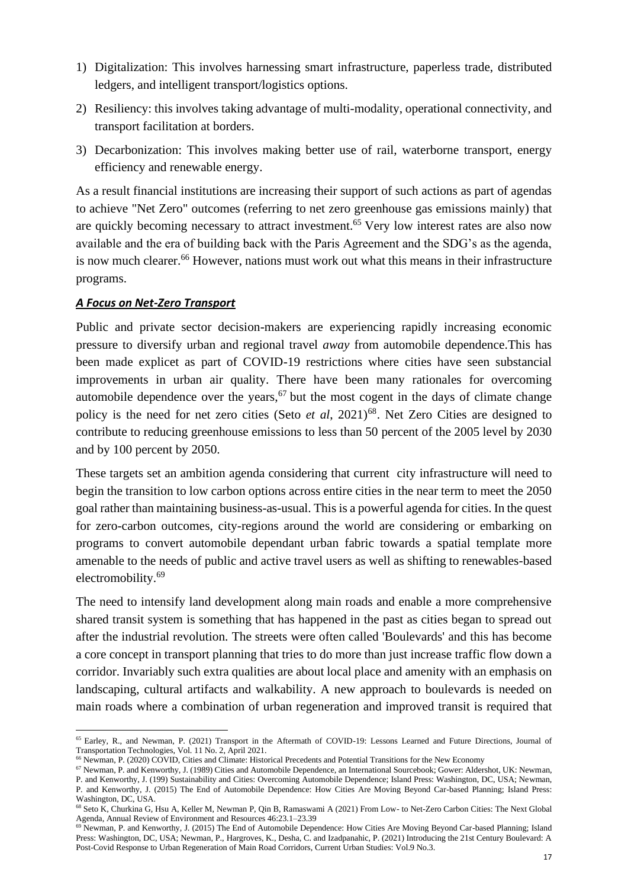- 1) Digitalization: This involves harnessing smart infrastructure, paperless trade, distributed ledgers, and intelligent transport/logistics options.
- 2) Resiliency: this involves taking advantage of multi-modality, operational connectivity, and transport facilitation at borders.
- 3) Decarbonization: This involves making better use of rail, waterborne transport, energy efficiency and renewable energy.

As a result financial institutions are increasing their support of such actions as part of agendas to achieve "Net Zero" outcomes (referring to net zero greenhouse gas emissions mainly) that are quickly becoming necessary to attract investment.<sup>65</sup> Very low interest rates are also now available and the era of building back with the Paris Agreement and the SDG's as the agenda, is now much clearer.<sup>66</sup> However, nations must work out what this means in their infrastructure programs.

#### <span id="page-17-0"></span>*A Focus on Net-Zero Transport*

Public and private sector decision-makers are experiencing rapidly increasing economic pressure to diversify urban and regional travel *away* from automobile dependence.This has been made explicet as part of COVID-19 restrictions where cities have seen substancial improvements in urban air quality. There have been many rationales for overcoming automobile dependence over the years,  $67$  but the most cogent in the days of climate change policy is the need for net zero cities (Seto *et al*, 2021)<sup>68</sup>. Net Zero Cities are designed to contribute to reducing greenhouse emissions to less than 50 percent of the 2005 level by 2030 and by 100 percent by 2050.

These targets set an ambition agenda considering that current city infrastructure will need to begin the transition to low carbon options across entire cities in the near term to meet the 2050 goal rather than maintaining business-as-usual. This is a powerful agenda for cities. In the quest for zero-carbon outcomes, city-regions around the world are considering or embarking on programs to convert automobile dependant urban fabric towards a spatial template more amenable to the needs of public and active travel users as well as shifting to renewables-based electromobility. 69

The need to intensify land development along main roads and enable a more comprehensive shared transit system is something that has happened in the past as cities began to spread out after the industrial revolution. The streets were often called 'Boulevards' and this has become a core concept in transport planning that tries to do more than just increase traffic flow down a corridor. Invariably such extra qualities are about local place and amenity with an emphasis on landscaping, cultural artifacts and walkability. A new approach to boulevards is needed on main roads where a combination of urban regeneration and improved transit is required that

<sup>65</sup> Earley, R., and Newman, P. (2021) Transport in the Aftermath of COVID-19: Lessons Learned and Future Directions, Journal of Transportation Technologies, Vol. 11 No. 2, April 2021.

<sup>66</sup> Newman, P. (2020) COVID, Cities and Climate: Historical Precedents and Potential Transitions for the New Economy

<sup>67</sup> Newman, P. and Kenworthy, J. (1989) Cities and Automobile Dependence, an International Sourcebook; Gower: Aldershot, UK: Newman, P. and Kenworthy, J. (199) Sustainability and Cities: Overcoming Automobile Dependence; Island Press: Washington, DC, USA; Newman, P. and Kenworthy, J. (2015) The End of Automobile Dependence: How Cities Are Moving Beyond Car-based Planning; Island Press: Washington, DC, USA.

<sup>68</sup> Seto K, Churkina G, Hsu A, Keller M, Newman P, Qin B, Ramaswami A (2021) From Low- to Net-Zero Carbon Cities: The Next Global Agenda, Annual Review of Environment and Resources 46:23.1–23.39

<sup>&</sup>lt;sup>69</sup> Newman, P. and Kenworthy, J. (2015) The End of Automobile Dependence: How Cities Are Moving Beyond Car-based Planning; Island Press: Washington, DC, USA; Newman, P., Hargroves, K., Desha, C. and Izadpanahic, P. (2021) Introducing the 21st Century Boulevard: A Post-Covid Response to Urban Regeneration of Main Road Corridors, Current Urban Studies: Vol.9 No.3.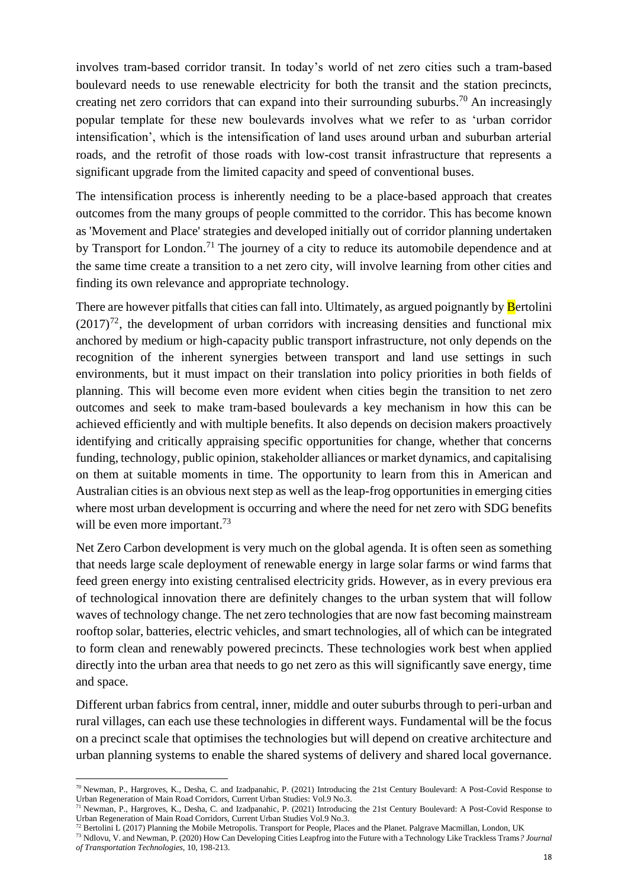involves tram-based corridor transit. In today's world of net zero cities such a tram-based boulevard needs to use renewable electricity for both the transit and the station precincts, creating net zero corridors that can expand into their surrounding suburbs.<sup>70</sup> An increasingly popular template for these new boulevards involves what we refer to as 'urban corridor intensification', which is the intensification of land uses around urban and suburban arterial roads, and the retrofit of those roads with low-cost transit infrastructure that represents a significant upgrade from the limited capacity and speed of conventional buses.

The intensification process is inherently needing to be a place-based approach that creates outcomes from the many groups of people committed to the corridor. This has become known as 'Movement and Place' strategies and developed initially out of corridor planning undertaken by Transport for London.<sup>71</sup> The journey of a city to reduce its automobile dependence and at the same time create a transition to a net zero city, will involve learning from other cities and finding its own relevance and appropriate technology.

There are however pitfalls that cities can fall into. Ultimately, as argued poignantly by **B**ertolini  $(2017)^{72}$ , the development of urban corridors with increasing densities and functional mix anchored by medium or high-capacity public transport infrastructure, not only depends on the recognition of the inherent synergies between transport and land use settings in such environments, but it must impact on their translation into policy priorities in both fields of planning. This will become even more evident when cities begin the transition to net zero outcomes and seek to make tram-based boulevards a key mechanism in how this can be achieved efficiently and with multiple benefits. It also depends on decision makers proactively identifying and critically appraising specific opportunities for change, whether that concerns funding, technology, public opinion, stakeholder alliances or market dynamics, and capitalising on them at suitable moments in time. The opportunity to learn from this in American and Australian cities is an obvious next step as well as the leap-frog opportunities in emerging cities where most urban development is occurring and where the need for net zero with SDG benefits will be even more important.<sup>73</sup>

Net Zero Carbon development is very much on the global agenda. It is often seen as something that needs large scale deployment of renewable energy in large solar farms or wind farms that feed green energy into existing centralised electricity grids. However, as in every previous era of technological innovation there are definitely changes to the urban system that will follow waves of technology change. The net zero technologies that are now fast becoming mainstream rooftop solar, batteries, electric vehicles, and smart technologies, all of which can be integrated to form clean and renewably powered precincts. These technologies work best when applied directly into the urban area that needs to go net zero as this will significantly save energy, time and space.

Different urban fabrics from central, inner, middle and outer suburbs through to peri-urban and rural villages, can each use these technologies in different ways. Fundamental will be the focus on a precinct scale that optimises the technologies but will depend on creative architecture and urban planning systems to enable the shared systems of delivery and shared local governance.

<sup>70</sup> Newman, P., Hargroves, K., Desha, C. and Izadpanahic, P. (2021) Introducing the 21st Century Boulevard: A Post-Covid Response to Urban Regeneration of Main Road Corridors, Current Urban Studies: Vol.9 No.3.

<sup>71</sup> Newman, P., Hargroves, K., Desha, C. and Izadpanahic, P. (2021) Introducing the 21st Century Boulevard: A Post-Covid Response to Urban Regeneration of Main Road Corridors, Current Urban Studies Vol.9 No.3.

 $^{72}$  Bertolini L (2017) Planning the Mobile Metropolis. Transport for People, Places and the Planet. Palgrave Macmillan, London, UK

<sup>73</sup> Ndlovu, V. and Newman, P. (2020) How Can Developing Cities Leapfrog into the Future with a Technology Like Trackless Trams*? Journal of Transportation Technologies*, 10, 198-213.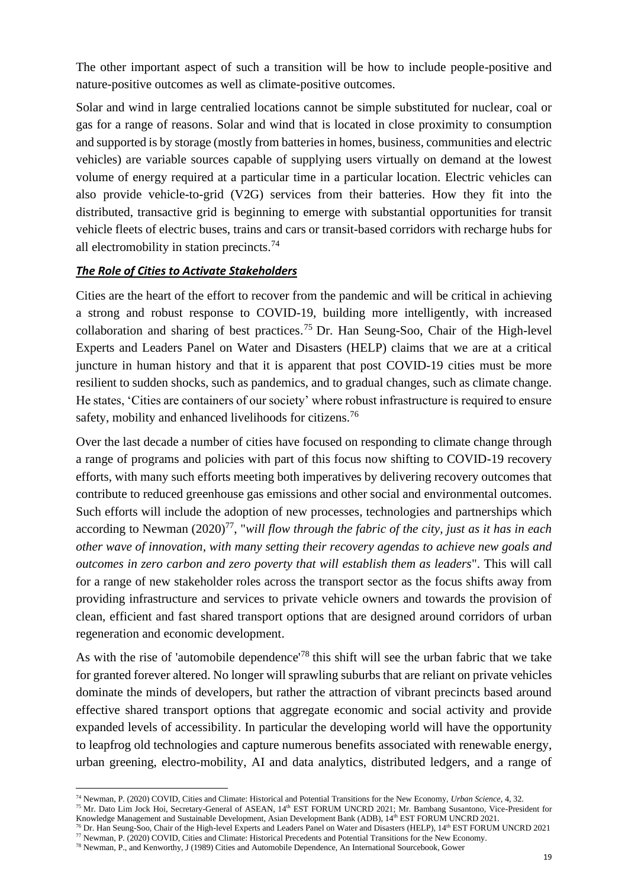The other important aspect of such a transition will be how to include people-positive and nature-positive outcomes as well as climate-positive outcomes.

Solar and wind in large centralied locations cannot be simple substituted for nuclear, coal or gas for a range of reasons. Solar and wind that is located in close proximity to consumption and supported is by storage (mostly from batteries in homes, business, communities and electric vehicles) are variable sources capable of supplying users virtually on demand at the lowest volume of energy required at a particular time in a particular location. Electric vehicles can also provide vehicle-to-grid (V2G) services from their batteries. How they fit into the distributed, transactive grid is beginning to emerge with substantial opportunities for transit vehicle fleets of electric buses, trains and cars or transit-based corridors with recharge hubs for all electromobility in station precincts.<sup>74</sup>

### <span id="page-19-0"></span>*The Role of Cities to Activate Stakeholders*

Cities are the heart of the effort to recover from the pandemic and will be critical in achieving a strong and robust response to COVID-19, building more intelligently, with increased collaboration and sharing of best practices.<sup>75</sup> Dr. Han Seung-Soo, Chair of the High-level Experts and Leaders Panel on Water and Disasters (HELP) claims that we are at a critical juncture in human history and that it is apparent that post COVID-19 cities must be more resilient to sudden shocks, such as pandemics, and to gradual changes, such as climate change. He states, 'Cities are containers of our society' where robust infrastructure is required to ensure safety, mobility and enhanced livelihoods for citizens.<sup>76</sup>

Over the last decade a number of cities have focused on responding to climate change through a range of programs and policies with part of this focus now shifting to COVID-19 recovery efforts, with many such efforts meeting both imperatives by delivering recovery outcomes that contribute to reduced greenhouse gas emissions and other social and environmental outcomes. Such efforts will include the adoption of new processes, technologies and partnerships which according to Newman (2020)<sup>77</sup>, "*will flow through the fabric of the city, just as it has in each other wave of innovation, with many setting their recovery agendas to achieve new goals and outcomes in zero carbon and zero poverty that will establish them as leaders*". This will call for a range of new stakeholder roles across the transport sector as the focus shifts away from providing infrastructure and services to private vehicle owners and towards the provision of clean, efficient and fast shared transport options that are designed around corridors of urban regeneration and economic development.

As with the rise of 'automobile dependence'<sup>78</sup> this shift will see the urban fabric that we take for granted forever altered. No longer will sprawling suburbs that are reliant on private vehicles dominate the minds of developers, but rather the attraction of vibrant precincts based around effective shared transport options that aggregate economic and social activity and provide expanded levels of accessibility. In particular the developing world will have the opportunity to leapfrog old technologies and capture numerous benefits associated with renewable energy, urban greening, electro-mobility, AI and data analytics, distributed ledgers, and a range of

<sup>74</sup> Newman, P. (2020) COVID, Cities and Climate: Historical and Potential Transitions for the New Economy, *Urban Science*, 4, 32.

<sup>&</sup>lt;sup>75</sup> Mr. Dato Lim Jock Hoi, Secretary-General of ASEAN, 14<sup>th</sup> EST FORUM UNCRD 2021; Mr. Bambang Susantono, Vice-President for

Knowledge Management and Sustainable Development, Asian Development Bank (ADB), 14th EST FORUM UNCRD 2021. <sup>76</sup> Dr. Han Seung-Soo, Chair of the High-level Experts and Leaders Panel on Water and Disasters (HELP), 14<sup>th</sup> EST FORUM UNCRD 2021 <sup>77</sup> Newman, P. (2020) COVID, Cities and Climate: Historical Precedents and Potential Transitions for the New Economy.

<sup>78</sup> Newman, P., and Kenworthy, J (1989) Cities and Automobile Dependence, An International Sourcebook, Gower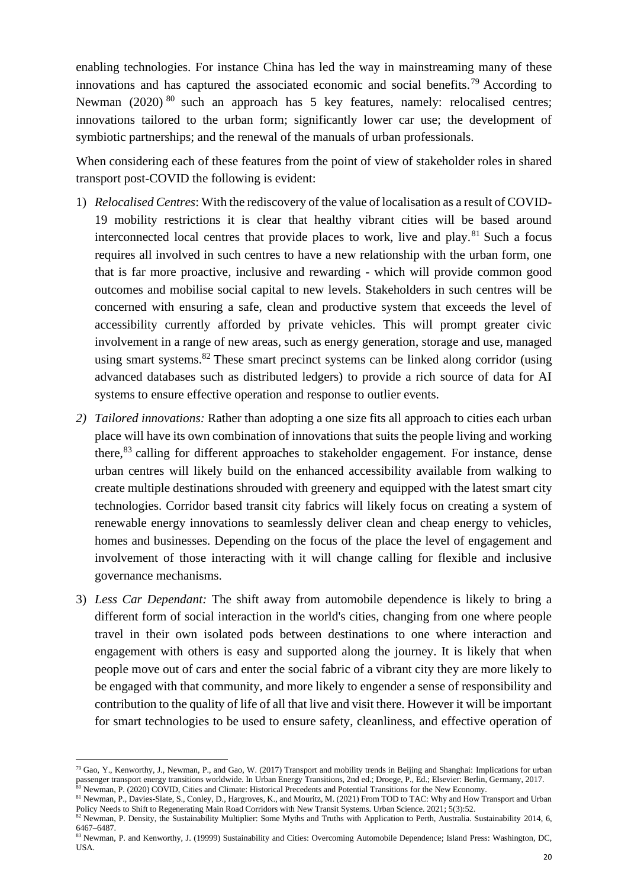enabling technologies. For instance China has led the way in mainstreaming many of these innovations and has captured the associated economic and social benefits.<sup>79</sup> According to Newman (2020)<sup>80</sup> such an approach has 5 key features, namely: relocalised centres; innovations tailored to the urban form; significantly lower car use; the development of symbiotic partnerships; and the renewal of the manuals of urban professionals.

When considering each of these features from the point of view of stakeholder roles in shared transport post-COVID the following is evident:

- 1) *Relocalised Centres*: With the rediscovery of the value of localisation as a result of COVID-19 mobility restrictions it is clear that healthy vibrant cities will be based around interconnected local centres that provide places to work, live and play.<sup>81</sup> Such a focus requires all involved in such centres to have a new relationship with the urban form, one that is far more proactive, inclusive and rewarding - which will provide common good outcomes and mobilise social capital to new levels. Stakeholders in such centres will be concerned with ensuring a safe, clean and productive system that exceeds the level of accessibility currently afforded by private vehicles. This will prompt greater civic involvement in a range of new areas, such as energy generation, storage and use, managed using smart systems.<sup>82</sup> These smart precinct systems can be linked along corridor (using advanced databases such as distributed ledgers) to provide a rich source of data for AI systems to ensure effective operation and response to outlier events.
- *2) Tailored innovations:* Rather than adopting a one size fits all approach to cities each urban place will have its own combination of innovations that suits the people living and working there,<sup>83</sup> calling for different approaches to stakeholder engagement. For instance, dense urban centres will likely build on the enhanced accessibility available from walking to create multiple destinations shrouded with greenery and equipped with the latest smart city technologies. Corridor based transit city fabrics will likely focus on creating a system of renewable energy innovations to seamlessly deliver clean and cheap energy to vehicles, homes and businesses. Depending on the focus of the place the level of engagement and involvement of those interacting with it will change calling for flexible and inclusive governance mechanisms.
- 3) *Less Car Dependant:* The shift away from automobile dependence is likely to bring a different form of social interaction in the world's cities, changing from one where people travel in their own isolated pods between destinations to one where interaction and engagement with others is easy and supported along the journey. It is likely that when people move out of cars and enter the social fabric of a vibrant city they are more likely to be engaged with that community, and more likely to engender a sense of responsibility and contribution to the quality of life of all that live and visit there. However it will be important for smart technologies to be used to ensure safety, cleanliness, and effective operation of

 $^{79}$  Gao, Y., Kenworthy, J., Newman, P., and Gao, W. (2017) Transport and mobility trends in Beijing and Shanghai: Implications for urban passenger transport energy transitions worldwide. In Urban Energy Transitions, 2nd ed.; Droege, P., Ed.; Elsevier: Berlin, Germany, 2017.

<sup>80</sup> Newman, P. (2020) COVID, Cities and Climate: Historical Precedents and Potential Transitions for the New Economy.

<sup>81</sup> Newman, P., Davies-Slate, S., Conley, D., Hargroves, K., and Mouritz, M. (2021) From TOD to TAC: Why and How Transport and Urban Policy Needs to Shift to Regenerating Main Road Corridors with New Transit Systems. Urban Science. 2021; 5(3):52.

<sup>82</sup> Newman, P. Density, the Sustainability Multiplier: Some Myths and Truths with Application to Perth, Australia. Sustainability 2014, 6, 6467–6487.

<sup>83</sup> Newman, P. and Kenworthy, J. (19999) Sustainability and Cities: Overcoming Automobile Dependence; Island Press: Washington, DC, USA.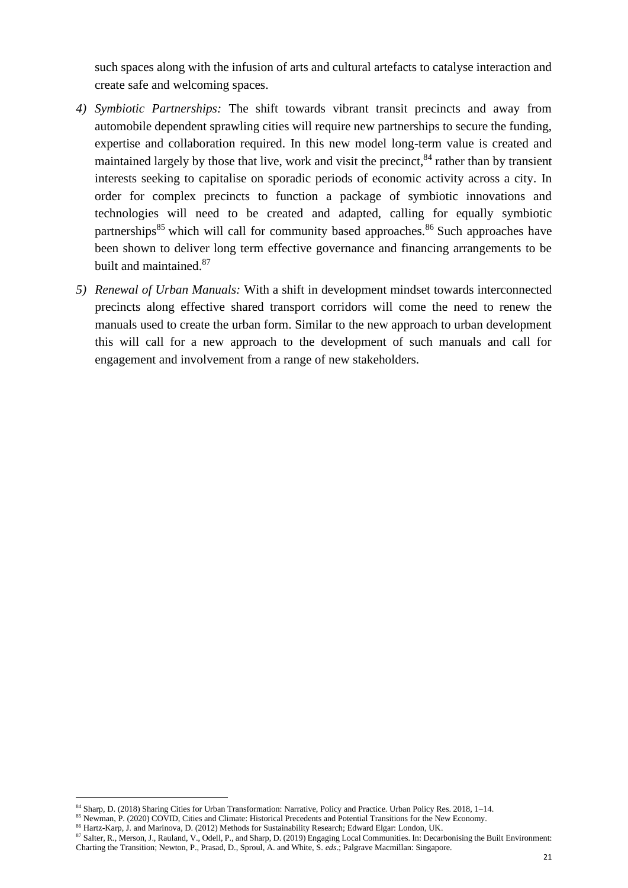such spaces along with the infusion of arts and cultural artefacts to catalyse interaction and create safe and welcoming spaces.

- *4) Symbiotic Partnerships:* The shift towards vibrant transit precincts and away from automobile dependent sprawling cities will require new partnerships to secure the funding, expertise and collaboration required. In this new model long-term value is created and maintained largely by those that live, work and visit the precinct,  $84$  rather than by transient interests seeking to capitalise on sporadic periods of economic activity across a city. In order for complex precincts to function a package of symbiotic innovations and technologies will need to be created and adapted, calling for equally symbiotic partnerships<sup>85</sup> which will call for community based approaches.<sup>86</sup> Such approaches have been shown to deliver long term effective governance and financing arrangements to be built and maintained.<sup>87</sup>
- *5) Renewal of Urban Manuals:* With a shift in development mindset towards interconnected precincts along effective shared transport corridors will come the need to renew the manuals used to create the urban form. Similar to the new approach to urban development this will call for a new approach to the development of such manuals and call for engagement and involvement from a range of new stakeholders.

<sup>86</sup> Hartz-Karp, J. and Marinova, D. (2012) Methods for Sustainability Research; Edward Elgar: London, UK.

<sup>84</sup> Sharp, D. (2018) Sharing Cities for Urban Transformation: Narrative, Policy and Practice. Urban Policy Res. 2018, 1–14.

<sup>85</sup> Newman, P. (2020) COVID, Cities and Climate: Historical Precedents and Potential Transitions for the New Economy.

<sup>87</sup> Salter, R., Merson, J., Rauland, V., Odell, P., and Sharp, D. (2019) Engaging Local Communities. In: Decarbonising the Built Environment: Charting the Transition; Newton, P., Prasad, D., Sproul, A. and White, S. *eds*.; Palgrave Macmillan: Singapore.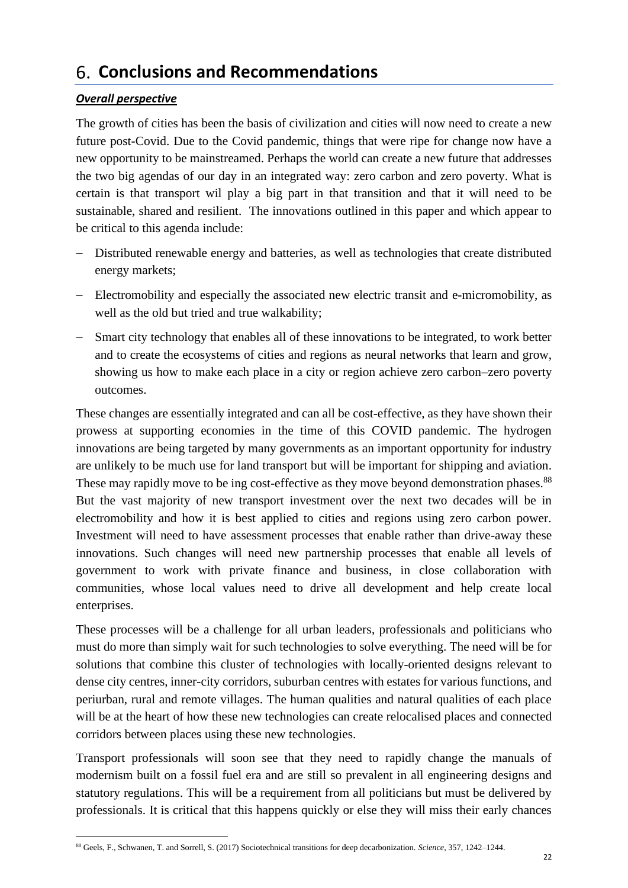# <span id="page-22-0"></span>**Conclusions and Recommendations**

### <span id="page-22-1"></span>*Overall perspective*

The growth of cities has been the basis of civilization and cities will now need to create a new future post-Covid. Due to the Covid pandemic, things that were ripe for change now have a new opportunity to be mainstreamed. Perhaps the world can create a new future that addresses the two big agendas of our day in an integrated way: zero carbon and zero poverty. What is certain is that transport wil play a big part in that transition and that it will need to be sustainable, shared and resilient. The innovations outlined in this paper and which appear to be critical to this agenda include:

- − Distributed renewable energy and batteries, as well as technologies that create distributed energy markets;
- − Electromobility and especially the associated new electric transit and e-micromobility, as well as the old but tried and true walkability;
- − Smart city technology that enables all of these innovations to be integrated, to work better and to create the ecosystems of cities and regions as neural networks that learn and grow, showing us how to make each place in a city or region achieve zero carbon–zero poverty outcomes.

These changes are essentially integrated and can all be cost-effective, as they have shown their prowess at supporting economies in the time of this COVID pandemic. The hydrogen innovations are being targeted by many governments as an important opportunity for industry are unlikely to be much use for land transport but will be important for shipping and aviation. These may rapidly move to be ing cost-effective as they move beyond demonstration phases.<sup>88</sup> But the vast majority of new transport investment over the next two decades will be in electromobility and how it is best applied to cities and regions using zero carbon power. Investment will need to have assessment processes that enable rather than drive-away these innovations. Such changes will need new partnership processes that enable all levels of government to work with private finance and business, in close collaboration with communities, whose local values need to drive all development and help create local enterprises.

These processes will be a challenge for all urban leaders, professionals and politicians who must do more than simply wait for such technologies to solve everything. The need will be for solutions that combine this cluster of technologies with locally-oriented designs relevant to dense city centres, inner-city corridors, suburban centres with estates for various functions, and periurban, rural and remote villages. The human qualities and natural qualities of each place will be at the heart of how these new technologies can create relocalised places and connected corridors between places using these new technologies.

Transport professionals will soon see that they need to rapidly change the manuals of modernism built on a fossil fuel era and are still so prevalent in all engineering designs and statutory regulations. This will be a requirement from all politicians but must be delivered by professionals. It is critical that this happens quickly or else they will miss their early chances

<sup>88</sup> Geels, F., Schwanen, T. and Sorrell, S. (2017) Sociotechnical transitions for deep decarbonization. *Science*, 357, 1242–1244.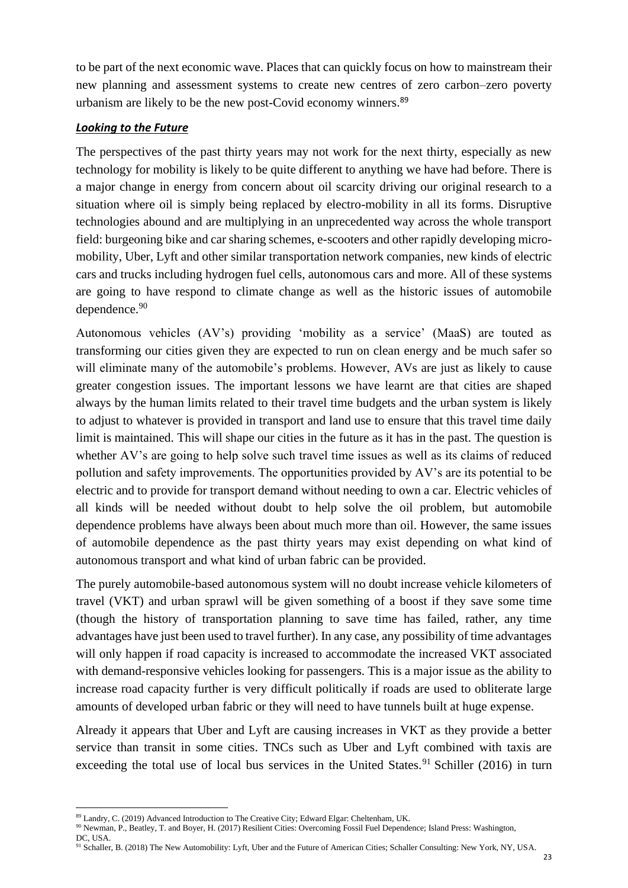to be part of the next economic wave. Places that can quickly focus on how to mainstream their new planning and assessment systems to create new centres of zero carbon–zero poverty urbanism are likely to be the new post-Covid economy winners. 89

#### <span id="page-23-0"></span>*Looking to the Future*

The perspectives of the past thirty years may not work for the next thirty, especially as new technology for mobility is likely to be quite different to anything we have had before. There is a major change in energy from concern about oil scarcity driving our original research to a situation where oil is simply being replaced by electro-mobility in all its forms. Disruptive technologies abound and are multiplying in an unprecedented way across the whole transport field: burgeoning bike and car sharing schemes, e-scooters and other rapidly developing micromobility, Uber, Lyft and other similar transportation network companies, new kinds of electric cars and trucks including hydrogen fuel cells, autonomous cars and more. All of these systems are going to have respond to climate change as well as the historic issues of automobile dependence.<sup>90</sup>

Autonomous vehicles (AV's) providing 'mobility as a service' (MaaS) are touted as transforming our cities given they are expected to run on clean energy and be much safer so will eliminate many of the automobile's problems. However, AVs are just as likely to cause greater congestion issues. The important lessons we have learnt are that cities are shaped always by the human limits related to their travel time budgets and the urban system is likely to adjust to whatever is provided in transport and land use to ensure that this travel time daily limit is maintained. This will shape our cities in the future as it has in the past. The question is whether AV's are going to help solve such travel time issues as well as its claims of reduced pollution and safety improvements. The opportunities provided by AV's are its potential to be electric and to provide for transport demand without needing to own a car. Electric vehicles of all kinds will be needed without doubt to help solve the oil problem, but automobile dependence problems have always been about much more than oil. However, the same issues of automobile dependence as the past thirty years may exist depending on what kind of autonomous transport and what kind of urban fabric can be provided.

The purely automobile-based autonomous system will no doubt increase vehicle kilometers of travel (VKT) and urban sprawl will be given something of a boost if they save some time (though the history of transportation planning to save time has failed, rather, any time advantages have just been used to travel further). In any case, any possibility of time advantages will only happen if road capacity is increased to accommodate the increased VKT associated with demand-responsive vehicles looking for passengers. This is a major issue as the ability to increase road capacity further is very difficult politically if roads are used to obliterate large amounts of developed urban fabric or they will need to have tunnels built at huge expense.

Already it appears that Uber and Lyft are causing increases in VKT as they provide a better service than transit in some cities. TNCs such as Uber and Lyft combined with taxis are exceeding the total use of local bus services in the United States.<sup>91</sup> Schiller (2016) in turn

<sup>&</sup>lt;sup>89</sup> Landry, C. (2019) Advanced Introduction to The Creative City; Edward Elgar: Cheltenham, UK.

<sup>90</sup> Newman, P., Beatley, T. and Boyer, H. (2017) Resilient Cities: Overcoming Fossil Fuel Dependence; Island Press: Washington, DC, USA.

<sup>91</sup> Schaller, B. (2018) The New Automobility: Lyft, Uber and the Future of American Cities; Schaller Consulting: New York, NY, USA.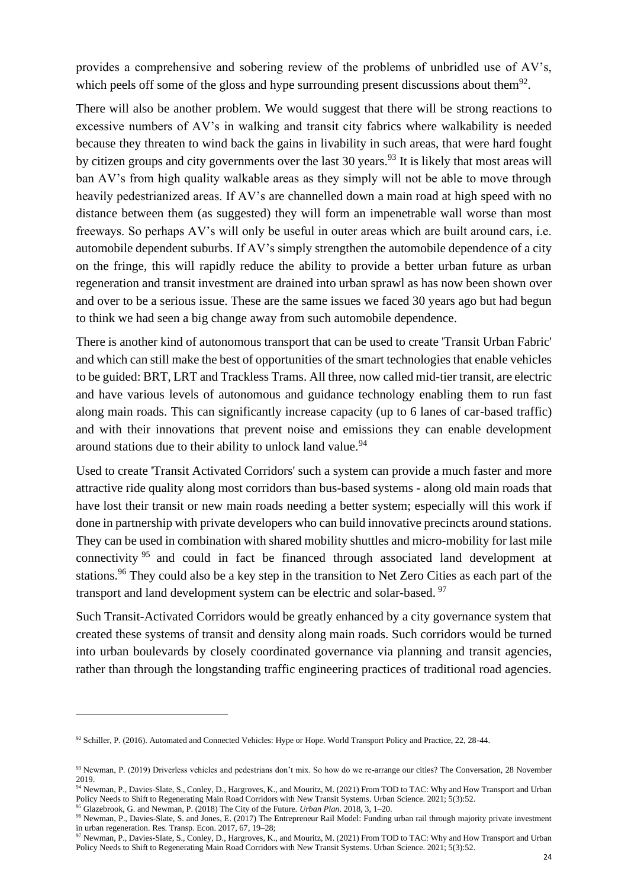provides a comprehensive and sobering review of the problems of unbridled use of AV's, which peels off some of the gloss and hype surrounding present discussions about them $92$ .

There will also be another problem. We would suggest that there will be strong reactions to excessive numbers of AV's in walking and transit city fabrics where walkability is needed because they threaten to wind back the gains in livability in such areas, that were hard fought by citizen groups and city governments over the last 30 years.<sup>93</sup> It is likely that most areas will ban AV's from high quality walkable areas as they simply will not be able to move through heavily pedestrianized areas. If AV's are channelled down a main road at high speed with no distance between them (as suggested) they will form an impenetrable wall worse than most freeways. So perhaps AV's will only be useful in outer areas which are built around cars, i.e. automobile dependent suburbs. If AV's simply strengthen the automobile dependence of a city on the fringe, this will rapidly reduce the ability to provide a better urban future as urban regeneration and transit investment are drained into urban sprawl as has now been shown over and over to be a serious issue. These are the same issues we faced 30 years ago but had begun to think we had seen a big change away from such automobile dependence.

There is another kind of autonomous transport that can be used to create 'Transit Urban Fabric' and which can still make the best of opportunities of the smart technologies that enable vehicles to be guided: BRT, LRT and Trackless Trams. All three, now called mid-tier transit, are electric and have various levels of autonomous and guidance technology enabling them to run fast along main roads. This can significantly increase capacity (up to 6 lanes of car-based traffic) and with their innovations that prevent noise and emissions they can enable development around stations due to their ability to unlock land value.<sup>94</sup>

Used to create 'Transit Activated Corridors' such a system can provide a much faster and more attractive ride quality along most corridors than bus-based systems - along old main roads that have lost their transit or new main roads needing a better system; especially will this work if done in partnership with private developers who can build innovative precincts around stations. They can be used in combination with shared mobility shuttles and micro-mobility for last mile connectivity <sup>95</sup> and could in fact be financed through associated land development at stations.<sup>96</sup> They could also be a key step in the transition to Net Zero Cities as each part of the transport and land development system can be electric and solar-based. <sup>97</sup>

Such Transit-Activated Corridors would be greatly enhanced by a city governance system that created these systems of transit and density along main roads. Such corridors would be turned into urban boulevards by closely coordinated governance via planning and transit agencies, rather than through the longstanding traffic engineering practices of traditional road agencies.

 $92$  Schiller, P. (2016). Automated and Connected Vehicles: Hype or Hope. World Transport Policy and Practice, 22, 28-44.

<sup>93</sup> Newman, P. (2019) Driverless vehicles and pedestrians don't mix. So how do we re-arrange our cities? The Conversation, 28 November 2019.

<sup>94</sup> Newman, P., Davies-Slate, S., Conley, D., Hargroves, K., and Mouritz, M. (2021) From TOD to TAC: Why and How Transport and Urban Policy Needs to Shift to Regenerating Main Road Corridors with New Transit Systems. Urban Science. 2021; 5(3):52.

<sup>95</sup> Glazebrook, G. and Newman, P. (2018) The City of the Future. *Urban Plan*. 2018, 3, 1–20.

<sup>96</sup> Newman, P., Davies-Slate, S. and Jones, E. (2017) The Entrepreneur Rail Model: Funding urban rail through majority private investment in urban regeneration. Res. Transp. Econ. 2017, 67, 19–28;

<sup>97</sup> Newman, P., Davies-Slate, S., Conley, D., Hargroves, K., and Mouritz, M. (2021) From TOD to TAC: Why and How Transport and Urban Policy Needs to Shift to Regenerating Main Road Corridors with New Transit Systems. Urban Science. 2021; 5(3):52.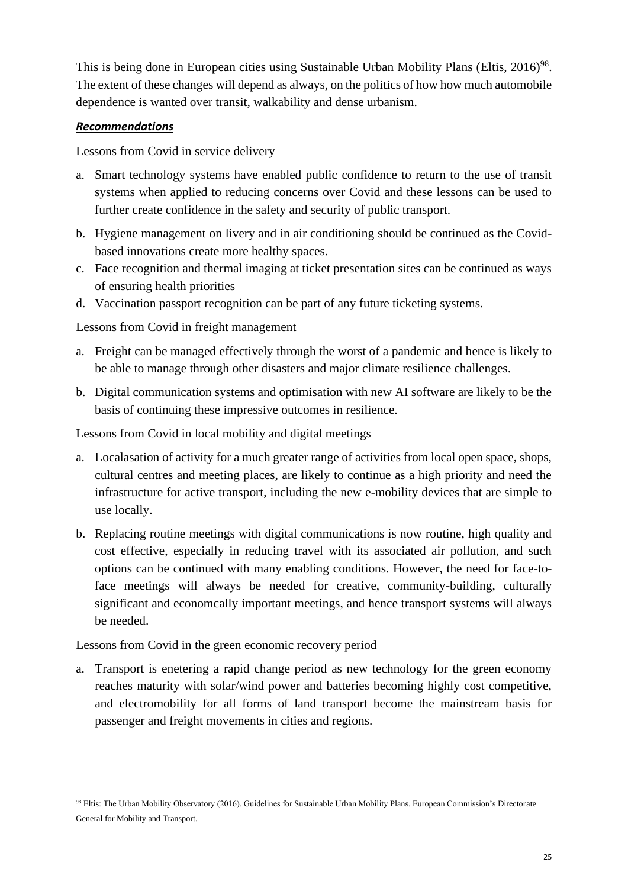This is being done in European cities using Sustainable Urban Mobility Plans (Eltis, 2016)<sup>98</sup>. The extent of these changes will depend as always, on the politics of how how much automobile dependence is wanted over transit, walkability and dense urbanism.

### <span id="page-25-0"></span>*Recommendations*

Lessons from Covid in service delivery

- a. Smart technology systems have enabled public confidence to return to the use of transit systems when applied to reducing concerns over Covid and these lessons can be used to further create confidence in the safety and security of public transport.
- b. Hygiene management on livery and in air conditioning should be continued as the Covidbased innovations create more healthy spaces.
- c. Face recognition and thermal imaging at ticket presentation sites can be continued as ways of ensuring health priorities
- d. Vaccination passport recognition can be part of any future ticketing systems.

Lessons from Covid in freight management

- a. Freight can be managed effectively through the worst of a pandemic and hence is likely to be able to manage through other disasters and major climate resilience challenges.
- b. Digital communication systems and optimisation with new AI software are likely to be the basis of continuing these impressive outcomes in resilience.

Lessons from Covid in local mobility and digital meetings

- a. Localasation of activity for a much greater range of activities from local open space, shops, cultural centres and meeting places, are likely to continue as a high priority and need the infrastructure for active transport, including the new e-mobility devices that are simple to use locally.
- b. Replacing routine meetings with digital communications is now routine, high quality and cost effective, especially in reducing travel with its associated air pollution, and such options can be continued with many enabling conditions. However, the need for face-toface meetings will always be needed for creative, community-building, culturally significant and economcally important meetings, and hence transport systems will always be needed.

Lessons from Covid in the green economic recovery period

a. Transport is enetering a rapid change period as new technology for the green economy reaches maturity with solar/wind power and batteries becoming highly cost competitive, and electromobility for all forms of land transport become the mainstream basis for passenger and freight movements in cities and regions.

<sup>98</sup> Eltis: The Urban Mobility Observatory (2016). Guidelines for Sustainable Urban Mobility Plans. European Commission's Directorate General for Mobility and Transport.